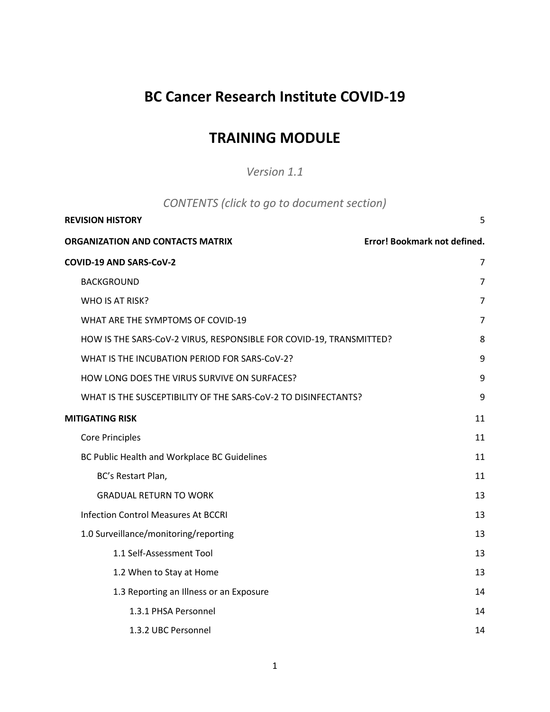## **BC Cancer Research Institute COVID-19**

## **TRAINING MODULE**

*Version 1.1*

| CONTENTS (click to go to document section) |  |
|--------------------------------------------|--|
|--------------------------------------------|--|

| <b>REVISION HISTORY</b>                                             | 5                            |
|---------------------------------------------------------------------|------------------------------|
| ORGANIZATION AND CONTACTS MATRIX                                    | Error! Bookmark not defined. |
| COVID-19 AND SARS-CoV-2                                             | $\overline{7}$               |
| <b>BACKGROUND</b>                                                   | $\overline{7}$               |
| WHO IS AT RISK?                                                     | 7                            |
| WHAT ARE THE SYMPTOMS OF COVID-19                                   | $\overline{7}$               |
| HOW IS THE SARS-CoV-2 VIRUS, RESPONSIBLE FOR COVID-19, TRANSMITTED? | 8                            |
| WHAT IS THE INCUBATION PERIOD FOR SARS-CoV-2?                       | 9                            |
| HOW LONG DOES THE VIRUS SURVIVE ON SURFACES?                        | 9                            |
| WHAT IS THE SUSCEPTIBILITY OF THE SARS-COV-2 TO DISINFECTANTS?      | 9                            |
| <b>MITIGATING RISK</b>                                              | 11                           |
| <b>Core Principles</b>                                              | 11                           |
| BC Public Health and Workplace BC Guidelines                        | 11                           |
| BC's Restart Plan,                                                  | 11                           |
| <b>GRADUAL RETURN TO WORK</b>                                       | 13                           |
| <b>Infection Control Measures At BCCRI</b>                          | 13                           |
| 1.0 Surveillance/monitoring/reporting                               | 13                           |
| 1.1 Self-Assessment Tool                                            | 13                           |
| 1.2 When to Stay at Home                                            | 13                           |
| 1.3 Reporting an Illness or an Exposure                             | 14                           |
| 1.3.1 PHSA Personnel                                                | 14                           |
| 1.3.2 UBC Personnel                                                 | 14                           |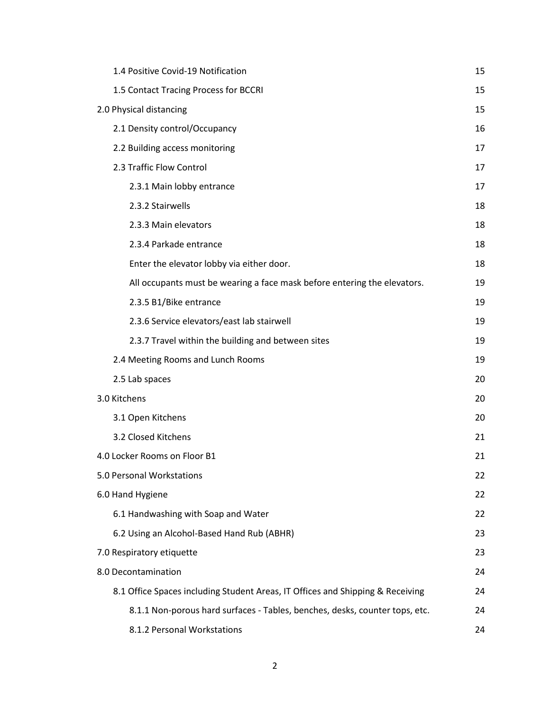| 1.4 Positive Covid-19 Notification                                             | 15 |
|--------------------------------------------------------------------------------|----|
| 1.5 Contact Tracing Process for BCCRI                                          | 15 |
| 2.0 Physical distancing                                                        | 15 |
| 2.1 Density control/Occupancy                                                  | 16 |
| 2.2 Building access monitoring                                                 | 17 |
| 2.3 Traffic Flow Control                                                       | 17 |
| 2.3.1 Main lobby entrance                                                      | 17 |
| 2.3.2 Stairwells                                                               | 18 |
| 2.3.3 Main elevators                                                           | 18 |
| 2.3.4 Parkade entrance                                                         | 18 |
| Enter the elevator lobby via either door.                                      | 18 |
| All occupants must be wearing a face mask before entering the elevators.       | 19 |
| 2.3.5 B1/Bike entrance                                                         | 19 |
| 2.3.6 Service elevators/east lab stairwell                                     | 19 |
| 2.3.7 Travel within the building and between sites                             | 19 |
| 2.4 Meeting Rooms and Lunch Rooms                                              | 19 |
| 2.5 Lab spaces                                                                 | 20 |
| 3.0 Kitchens                                                                   | 20 |
| 3.1 Open Kitchens                                                              | 20 |
| 3.2 Closed Kitchens                                                            | 21 |
| 4.0 Locker Rooms on Floor B1                                                   | 21 |
| 5.0 Personal Workstations                                                      | 22 |
| 6.0 Hand Hygiene                                                               | 22 |
| 6.1 Handwashing with Soap and Water                                            | 22 |
| 6.2 Using an Alcohol-Based Hand Rub (ABHR)                                     | 23 |
| 7.0 Respiratory etiquette                                                      | 23 |
| 8.0 Decontamination                                                            | 24 |
| 8.1 Office Spaces including Student Areas, IT Offices and Shipping & Receiving | 24 |
| 8.1.1 Non-porous hard surfaces - Tables, benches, desks, counter tops, etc.    | 24 |
| 8.1.2 Personal Workstations                                                    | 24 |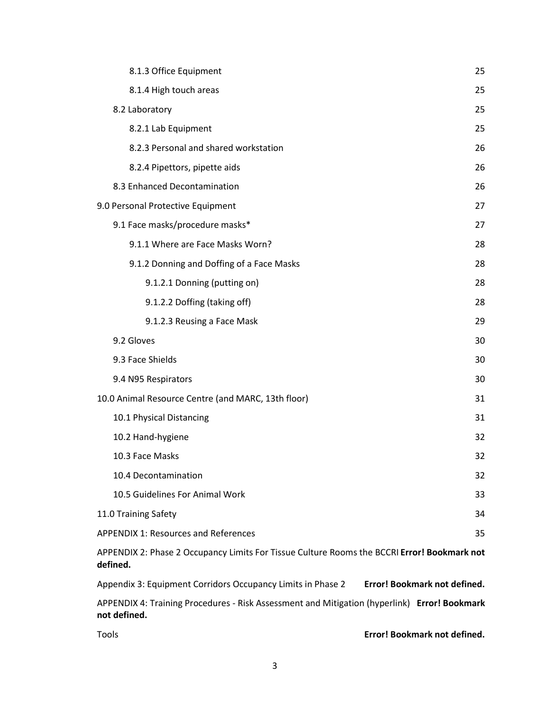| 8.1.3 Office Equipment                                                                                  | 25 |  |  |
|---------------------------------------------------------------------------------------------------------|----|--|--|
| 8.1.4 High touch areas                                                                                  | 25 |  |  |
| 8.2 Laboratory                                                                                          | 25 |  |  |
| 8.2.1 Lab Equipment                                                                                     | 25 |  |  |
| 8.2.3 Personal and shared workstation                                                                   | 26 |  |  |
| 8.2.4 Pipettors, pipette aids                                                                           | 26 |  |  |
| 8.3 Enhanced Decontamination                                                                            | 26 |  |  |
| 9.0 Personal Protective Equipment                                                                       | 27 |  |  |
| 9.1 Face masks/procedure masks*                                                                         | 27 |  |  |
| 9.1.1 Where are Face Masks Worn?                                                                        | 28 |  |  |
| 9.1.2 Donning and Doffing of a Face Masks                                                               | 28 |  |  |
| 9.1.2.1 Donning (putting on)                                                                            | 28 |  |  |
| 9.1.2.2 Doffing (taking off)                                                                            | 28 |  |  |
| 9.1.2.3 Reusing a Face Mask                                                                             | 29 |  |  |
| 9.2 Gloves                                                                                              | 30 |  |  |
| 9.3 Face Shields                                                                                        | 30 |  |  |
| 9.4 N95 Respirators                                                                                     | 30 |  |  |
| 10.0 Animal Resource Centre (and MARC, 13th floor)                                                      | 31 |  |  |
| 10.1 Physical Distancing                                                                                | 31 |  |  |
| 10.2 Hand-hygiene                                                                                       | 32 |  |  |
| 10.3 Face Masks                                                                                         | 32 |  |  |
| 10.4 Decontamination                                                                                    | 32 |  |  |
| 10.5 Guidelines For Animal Work                                                                         | 33 |  |  |
| 11.0 Training Safety                                                                                    | 34 |  |  |
| <b>APPENDIX 1: Resources and References</b>                                                             | 35 |  |  |
| APPENDIX 2: Phase 2 Occupancy Limits For Tissue Culture Rooms the BCCRI Error! Bookmark not<br>defined. |    |  |  |

Appendix 3: Equipment Corridors Occupancy Limits in Phase 2 **Error! Bookmark not defined.** APPENDIX 4: Training Procedures - Risk Assessment and Mitigation (hyperlink) **Error! Bookmark not defined.**

Tools **Error! Bookmark not defined.**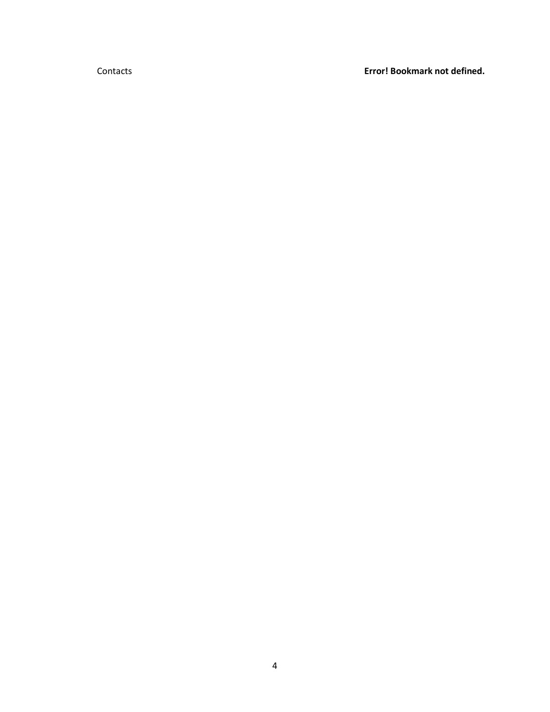Contacts **Error! Bookmark not defined.**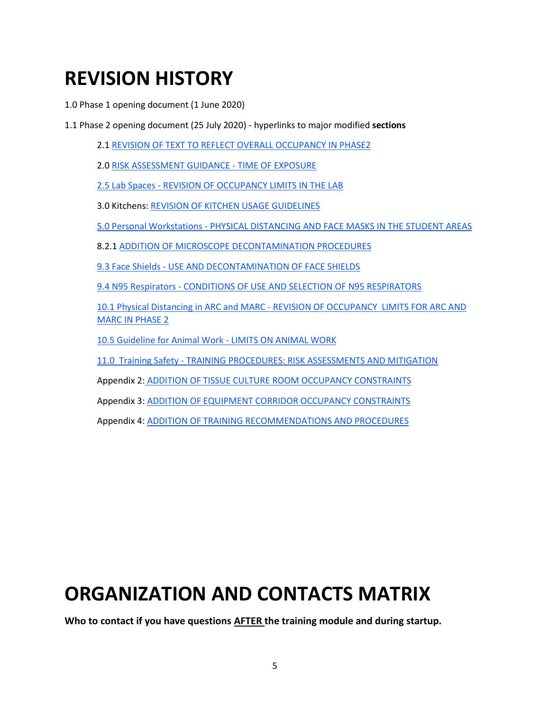# <span id="page-4-0"></span>**REVISION HISTORY**

1.0 Phase 1 opening document (1 June 2020)

1.1 Phase 2 opening document (25 July 2020) - hyperlinks to major modified **sections**

2.[1 REVISION OF TEXT TO REFLECT OVERALL OCCUPANCY IN PHASE2](#page-15-0)

2.[0 RISK ASSESSMENT GUIDANCE -](#page-14-2) TIME OF EXPOSURE

2.5 Lab Spaces - [REVISION OF OCCUPANCY LIMITS IN THE LAB](#page-19-0)

3.0 Kitchens: [REVISION OF KITCHEN USAGE GUIDELINES](#page-19-1)

5.0 Personal Workstations - [PHYSICAL DISTANCING AND FACE MASKS IN THE STUDENT AREAS](#page-21-0)

8.2.1 [ADDITION OF MICROSCOPE DECONTAMINATION PROCEDURES](#page-24-3)

9.3 Face Shields - [USE AND DECONTAMINATION OF FACE SHIELDS](#page-29-1)

9.4 N95 Respirators - [CONDITIONS OF USE AND SELECTION OF N95 RESPIRATORS](#page-29-2)

10.1 Physical Distancing in ARC and MARC - [REVISION OF OCCUPANCY LIMITS FOR ARC AND](#page-30-1)  [MARC IN PHASE 2](#page-30-1)

[10.5 Guideline for Animal Work -](#page-32-0) LIMITS ON ANIMAL WORK

11.0 Training Safety - [TRAINING PROCEDURES: RISK ASSESSMENTS AND MITIGATION](#page-33-0)

Appendix 2: [ADDITION OF TISSUE CULTURE ROOM OCCUPANCY](https://docs.google.com/spreadsheets/d/1Nl50Ryf1FqZYiP5xT-QmyaZ8RJnDNCXVN_O609soIkk/edit#gid=0) [CONSTRAINTS](https://docs.google.com/spreadsheets/d/1Nl50Ryf1FqZYiP5xT-QmyaZ8RJnDNCXVN_O609soIkk/edit#gid=0)

Appendix 3[: ADDITION OF EQUIPMENT CORRIDOR OCCUPANCY CONSTRAINTS](https://docs.google.com/spreadsheets/d/1pgYiulWKLFOQxLiU-owO8itJatYxVd2-DqbAr3rsmTQ/edit#gid=0)

Appendix 4[: ADDITION OF TRAINING RECOMMENDATIONS AND PROCEDURES](https://drive.google.com/open?id=1A3a6RE9ZGkLetBz3r8v-ZAwxIuc7zYYLlm-MJItrdJE)

# **ORGANIZATION AND CONTACTS MATRIX**

**Who to contact if you have questions AFTER the training module and during startup.**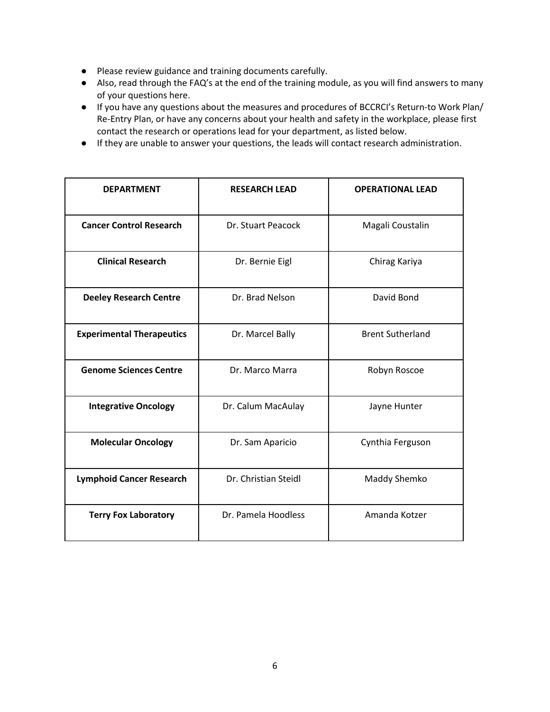- Please review guidance and training documents carefully.
- Also, read through the FAQ's at the end of the training module, as you will find answers to many of your questions here.
- If you have any questions about the measures and procedures of BCCRCI's Return-to Work Plan/ Re-Entry Plan, or have any concerns about your health and safety in the workplace, please first contact the research or operations lead for your department, as listed below.
- If they are unable to answer your questions, the leads will contact research administration.

| <b>DEPARTMENT</b>                | <b>RESEARCH LEAD</b> | <b>OPERATIONAL LEAD</b> |
|----------------------------------|----------------------|-------------------------|
| <b>Cancer Control Research</b>   | Dr. Stuart Peacock   | Magali Coustalin        |
| <b>Clinical Research</b>         | Dr. Bernie Eigl      | Chirag Kariya           |
| <b>Deeley Research Centre</b>    | Dr. Brad Nelson      | David Bond              |
| <b>Experimental Therapeutics</b> | Dr. Marcel Bally     | <b>Brent Sutherland</b> |
| <b>Genome Sciences Centre</b>    | Dr. Marco Marra      | Robyn Roscoe            |
| <b>Integrative Oncology</b>      | Dr. Calum MacAulay   | Jayne Hunter            |
| <b>Molecular Oncology</b>        | Dr. Sam Aparicio     | Cynthia Ferguson        |
| <b>Lymphoid Cancer Research</b>  | Dr. Christian Steidl | Maddy Shemko            |
| <b>Terry Fox Laboratory</b>      | Dr. Pamela Hoodless  | Amanda Kotzer           |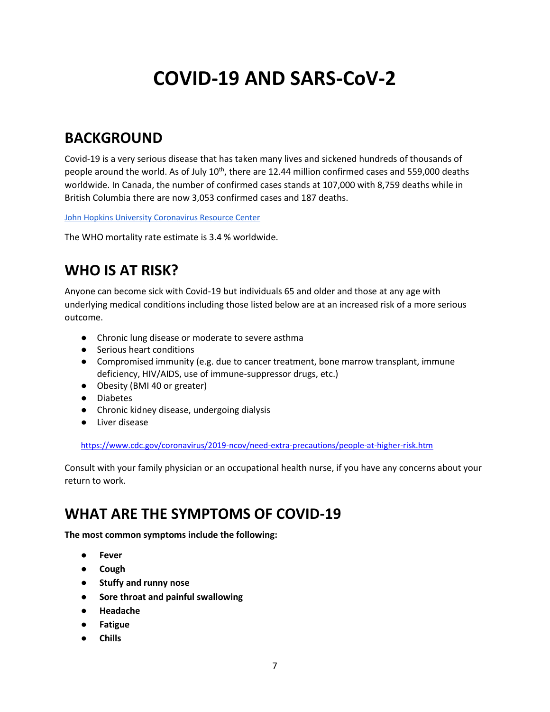# **COVID-19 AND SARS-CoV-2**

## <span id="page-6-1"></span><span id="page-6-0"></span>**BACKGROUND**

Covid-19 is a very serious disease that has taken many lives and sickened hundreds of thousands of people around the world. As of July 10<sup>th</sup>, there are 12.44 million confirmed cases and 559,000 deaths worldwide. In Canada, the number of confirmed cases stands at 107,000 with 8,759 deaths while in British Columbia there are now 3,053 confirmed cases and 187 deaths.

[John Hopkins University Coronavirus Resource Center](https://coronavirus.jhu.edu/map.html)

The WHO mortality rate estimate is 3.4 % worldwide.

## <span id="page-6-2"></span>**WHO IS AT RISK?**

Anyone can become sick with Covid-19 but individuals 65 and older and those at any age with underlying medical conditions including those listed below are at an increased risk of a more serious outcome.

- Chronic lung disease or moderate to severe asthma
- Serious heart conditions
- Compromised immunity (e.g. due to cancer treatment, bone marrow transplant, immune deficiency, HIV/AIDS, use of immune-suppressor drugs, etc.)
- Obesity (BMI 40 or greater)
- Diabetes
- Chronic kidney disease, undergoing dialysis
- Liver disease

[https://www.cdc.gov/coronavirus/2019-ncov/need-extra-precautions/people-at-higher-risk.htm](https://www.cdc.gov/coronavirus/2019-ncov/need-extra-precautions/people-at-higher-risk.html)

Consult with your family physician or an occupational health nurse, if you have any concerns about your return to work.

## <span id="page-6-3"></span>**WHAT ARE THE SYMPTOMS OF COVID-19**

**The most common symptoms include the following:**

- **● Fever**
- **● Cough**
- **● Stuffy and runny nose**
- **● Sore throat and painful swallowing**
- **● Headache**
- **● Fatigue**
- **● Chills**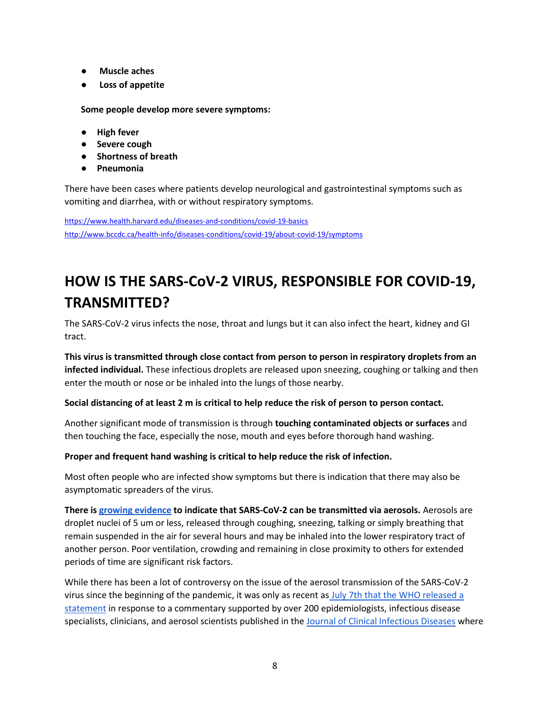- **● Muscle aches**
- **● Loss of appetite**

**Some people develop more severe symptoms:**

- **High fever**
- **Severe cough**
- **Shortness of breath**
- **Pneumonia**

There have been cases where patients develop neurological and gastrointestinal symptoms such as vomiting and diarrhea, with or without respiratory symptoms.

<https://www.health.harvard.edu/diseases-and-conditions/covid-19-basics> <http://www.bccdc.ca/health-info/diseases-conditions/covid-19/about-covid-19/symptoms>

## <span id="page-7-0"></span>**HOW IS THE SARS-CoV-2 VIRUS, RESPONSIBLE FOR COVID-19, TRANSMITTED?**

The SARS-CoV-2 virus infects the nose, throat and lungs but it can also infect the heart, kidney and GI tract.

**This virus is transmitted through close contact from person to person in respiratory droplets from an infected individual.** These infectious droplets are released upon sneezing, coughing or talking and then enter the mouth or nose or be inhaled into the lungs of those nearby.

### **Social distancing of at least 2 m is critical to help reduce the risk of person to person contact.**

Another significant mode of transmission is through **touching contaminated objects or surfaces** and then touching the face, especially the nose, mouth and eyes before thorough hand washing.

### **Proper and frequent hand washing is critical to help reduce the risk of infection.**

Most often people who are infected show symptoms but there is indication that there may also be asymptomatic spreaders of the virus.

**There is [growing evidence](https://academic.oup.com/cid/article/doi/10.1093/cid/ciaa939/5867798) to indicate that SARS-CoV-2 can be transmitted via aerosols.** Aerosols are droplet nuclei of 5 um or less, released through coughing, sneezing, talking or simply breathing that remain suspended in the air for several hours and may be inhaled into the lower respiratory tract of another person. Poor ventilation, crowding and remaining in close proximity to others for extended periods of time are significant risk factors.

While there has been a lot of controversy on the issue of the aerosol transmission of the SARS-CoV-2 virus since the beginning of the pandemic, it was only as recent as July 7th that the WHO released a [statement](https://www.who.int/dg/speeches/detail/who-director-general-s-opening-remarks-at-the-media-briefing-on-covid-19---7-july-2020) in response to a commentary supported by over 200 epidemiologists, infectious disease specialists, clinicians, and aerosol scientists published in the [Journal of Clinical Infectious Diseases](https://academic.oup.com/cid/article/doi/10.1093/cid/ciaa939/5867798) where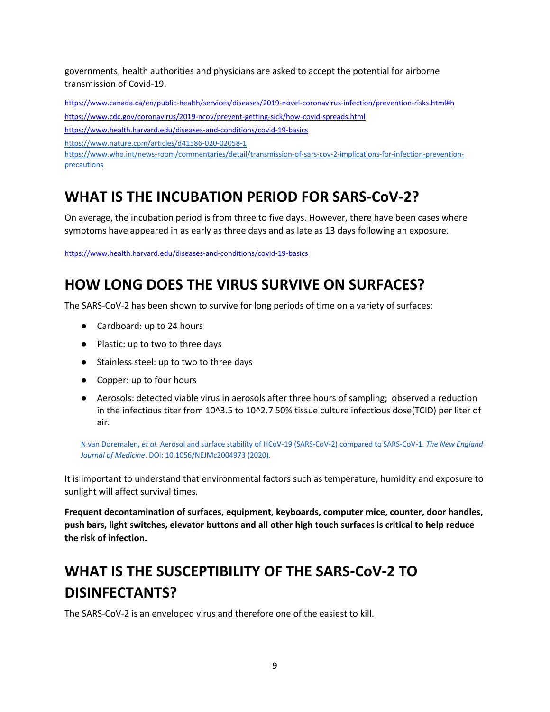governments, health authorities and physicians are asked to accept the potential for airborne transmission of Covid-19.

<https://www.canada.ca/en/public-health/services/diseases/2019-novel-coronavirus-infection/prevention-risks.html#h> <https://www.cdc.gov/coronavirus/2019-ncov/prevent-getting-sick/how-covid-spreads.html>

<https://www.health.harvard.edu/diseases-and-conditions/covid-19-basics>

<https://www.nature.com/articles/d41586-020-02058-1>

[https://www.who.int/news-room/commentaries/detail/transmission-of-sars-cov-2-implications-for-infection-prevention](https://www.who.int/news-room/commentaries/detail/transmission-of-sars-cov-2-implications-for-infection-prevention-precautions)[precautions](https://www.who.int/news-room/commentaries/detail/transmission-of-sars-cov-2-implications-for-infection-prevention-precautions)

## <span id="page-8-0"></span>**WHAT IS THE INCUBATION PERIOD FOR SARS-CoV-2?**

On average, the incubation period is from three to five days. However, there have been cases where symptoms have appeared in as early as three days and as late as 13 days following an exposure.

<https://www.health.harvard.edu/diseases-and-conditions/covid-19-basics>

## <span id="page-8-1"></span>**HOW LONG DOES THE VIRUS SURVIVE ON SURFACES?**

The SARS-CoV-2 has been shown to survive for long periods of time on a variety of surfaces:

- Cardboard: up to 24 hours
- Plastic: up to two to three days
- Stainless steel: up to two to three days
- Copper: up to four hours
- Aerosols: detected viable virus in aerosols after three hours of sampling; observed a reduction in the infectious titer from 10^3.5 to 10^2.7 50% tissue culture infectious dose(TCID) per liter of air.

[N van Doremalen,](https://www.nejm.org/doi/full/10.1056/NEJMc2004973) *[et al](https://www.nejm.org/doi/full/10.1056/NEJMc2004973)*[. Aerosol and surface stability of HCoV-19 \(SARS-CoV-2\) compared to SARS-CoV-1.](https://www.nejm.org/doi/full/10.1056/NEJMc2004973) *[The New England](https://www.nejm.org/doi/full/10.1056/NEJMc2004973)  [Journal of Medicine](https://www.nejm.org/doi/full/10.1056/NEJMc2004973)*[. DOI: 10.1056/NEJMc2004973 \(2020\).](https://www.nejm.org/doi/full/10.1056/NEJMc2004973)

It is important to understand that environmental factors such as temperature, humidity and exposure to sunlight will affect survival times.

**Frequent decontamination of surfaces, equipment, keyboards, computer mice, counter, door handles, push bars, light switches, elevator buttons and all other high touch surfaces is critical to help reduce the risk of infection.**

## <span id="page-8-2"></span>**WHAT IS THE SUSCEPTIBILITY OF THE SARS-CoV-2 TO DISINFECTANTS?**

The SARS-CoV-2 is an enveloped virus and therefore one of the easiest to kill.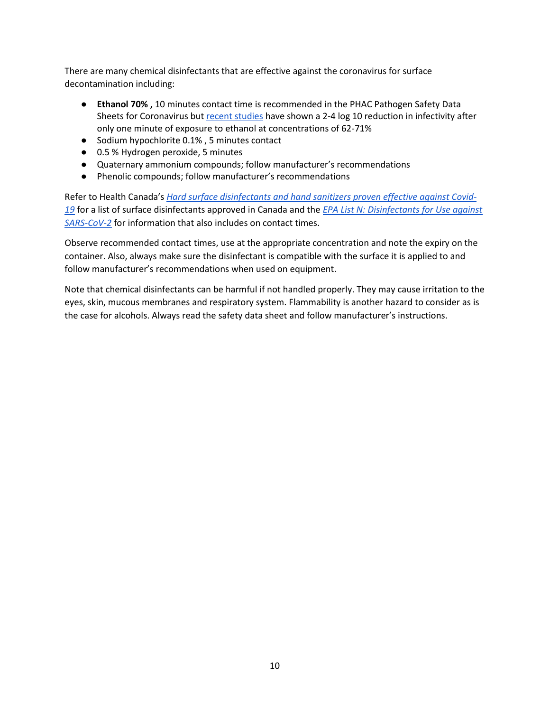There are many chemical disinfectants that are effective against the coronavirus for surface decontamination including:

- **Ethanol 70% ,** 10 minutes contact time is recommended in the PHAC Pathogen Safety Data Sheets for Coronavirus bu[t recent studies](https://www.sciencedirect.com/science/article/pii/S0195670120300463) have shown a 2-4 log 10 reduction in infectivity after only one minute of exposure to ethanol at concentrations of 62-71%
- Sodium hypochlorite 0.1%, 5 minutes contact
- 0.5 % Hydrogen peroxide, 5 minutes
- Quaternary ammonium compounds; follow manufacturer's recommendations
- Phenolic compounds; follow manufacturer's recommendations

Refer to Health Canada's *[Hard surface disinfectants and hand sanitizers proven effective against Covid-](https://www.canada.ca/en/health-canada/services/drugs-health-products/disinfectants/covid-19/list.html#tbl1)[19](https://www.canada.ca/en/health-canada/services/drugs-health-products/disinfectants/covid-19/list.html#tbl1)* for a list of surface disinfectants approved in Canada and the *[EPA List N: Disinfectants for Use against](https://www.epa.gov/newsroom/list-n-disinfectants-use-against-sars-cov-2)  [SARS-CoV-2](https://www.epa.gov/newsroom/list-n-disinfectants-use-against-sars-cov-2)* for information that also includes on contact times.

Observe recommended contact times, use at the appropriate concentration and note the expiry on the container. Also, always make sure the disinfectant is compatible with the surface it is applied to and follow manufacturer's recommendations when used on equipment.

Note that chemical disinfectants can be harmful if not handled properly. They may cause irritation to the eyes, skin, mucous membranes and respiratory system. Flammability is another hazard to consider as is the case for alcohols. Always read the safety data sheet and follow manufacturer's instructions.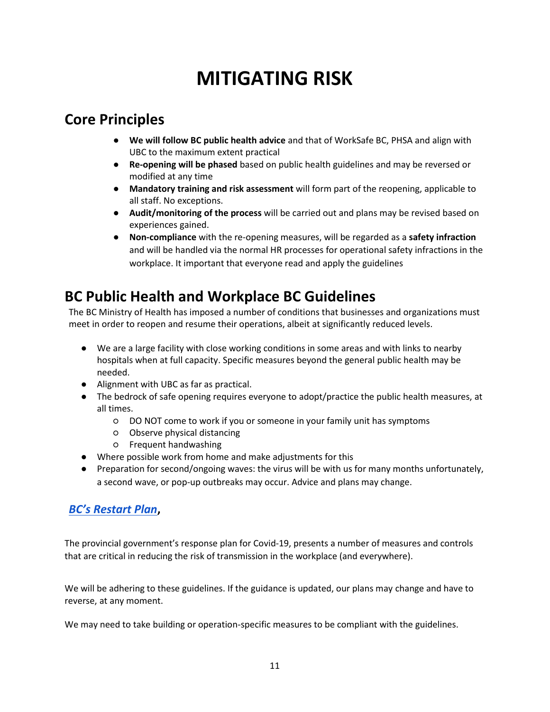# **MITIGATING RISK**

## <span id="page-10-1"></span><span id="page-10-0"></span>**Core Principles**

- **We will follow BC public health advice** and that of WorkSafe BC, PHSA and align with UBC to the maximum extent practical
- **Re-opening will be phased** based on public health guidelines and may be reversed or modified at any time
- **Mandatory training and risk assessment** will form part of the reopening, applicable to all staff. No exceptions.
- **Audit/monitoring of the process** will be carried out and plans may be revised based on experiences gained.
- **Non-compliance** with the re-opening measures, will be regarded as a **safety infraction** and will be handled via the normal HR processes for operational safety infractions in the workplace. It important that everyone read and apply the guidelines

## <span id="page-10-2"></span>**BC Public Health and Workplace BC Guidelines**

The BC Ministry of Health has imposed a number of conditions that businesses and organizations must meet in order to reopen and resume their operations, albeit at significantly reduced levels.

- We are a large facility with close working conditions in some areas and with links to nearby hospitals when at full capacity. Specific measures beyond the general public health may be needed.
- Alignment with UBC as far as practical.
- The bedrock of safe opening requires everyone to adopt/practice the public health measures, at all times.
	- DO NOT come to work if you or someone in your family unit has symptoms
	- Observe physical distancing
	- Frequent handwashing
- Where possible work from home and make adjustments for this
- Preparation for second/ongoing waves: the virus will be with us for many months unfortunately, a second wave, or pop-up outbreaks may occur. Advice and plans may change.

## <span id="page-10-3"></span>*[BC's Restart Plan](https://www2.gov.bc.ca/gov/content/safety/emergency-preparedness-response-recovery/covid-19-provincial-support/bc-restart-plan)***,**

The provincial government's response plan for Covid-19, presents a number of measures and controls that are critical in reducing the risk of transmission in the workplace (and everywhere).

We will be adhering to these guidelines. If the guidance is updated, our plans may change and have to reverse, at any moment.

We may need to take building or operation-specific measures to be compliant with the guidelines.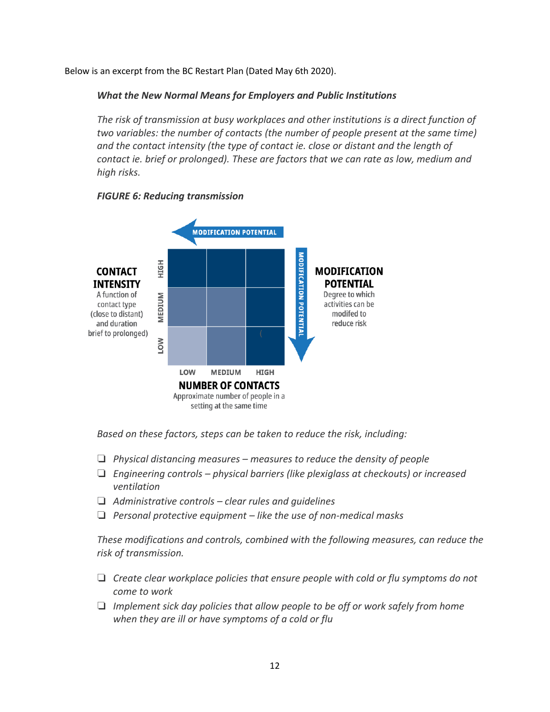Below is an excerpt from the BC Restart Plan (Dated May 6th 2020).

## *What the New Normal Means for Employers and Public Institutions*

*The risk of transmission at busy workplaces and other institutions is a direct function of two variables: the number of contacts (the number of people present at the same time) and the contact intensity (the type of contact ie. close or distant and the length of contact ie. brief or prolonged). These are factors that we can rate as low, medium and high risks.*



## *FIGURE 6: Reducing transmission*

*Based on these factors, steps can be taken to reduce the risk, including:*

- ❏ *Physical distancing measures – measures to reduce the density of people*
- ❏ *Engineering controls – physical barriers (like plexiglass at checkouts) or increased ventilation*
- ❏ *Administrative controls – clear rules and guidelines*
- ❏ *Personal protective equipment – like the use of non-medical masks*

*These modifications and controls, combined with the following measures, can reduce the risk of transmission.*

- ❏ *Create clear workplace policies that ensure people with cold or flu symptoms do not come to work*
- ❏ *Implement sick day policies that allow people to be off or work safely from home when they are ill or have symptoms of a cold or flu*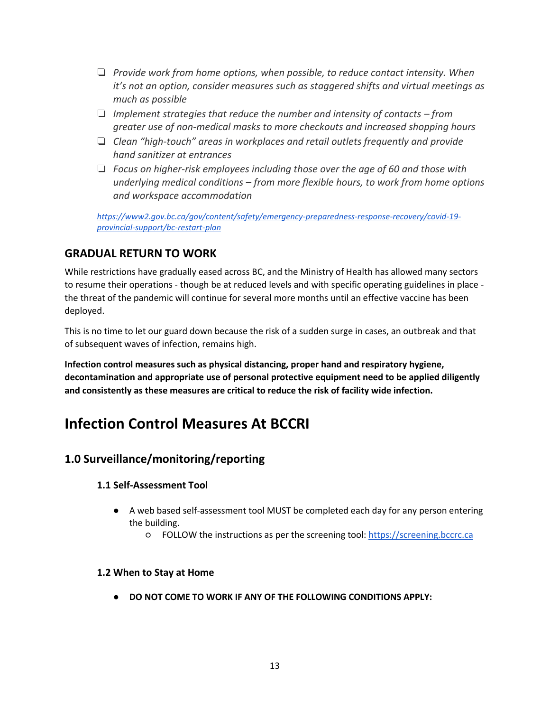- ❏ *Provide work from home options, when possible, to reduce contact intensity. When it's not an option, consider measures such as staggered shifts and virtual meetings as much as possible*
- ❏ *Implement strategies that reduce the number and intensity of contacts – from greater use of non-medical masks to more checkouts and increased shopping hours*
- ❏ *Clean "high-touch" areas in workplaces and retail outlets frequently and provide hand sanitizer at entrances*
- ❏ *Focus on higher-risk employees including those over the age of 60 and those with underlying medical conditions – from more flexible hours, to work from home options and workspace accommodation*

*[https://www2.gov.bc.ca/gov/content/safety/emergency-preparedness-response-recovery/covid-19](https://www2.gov.bc.ca/gov/content/safety/emergency-preparedness-response-recovery/covid-19-provincial-support/bc-restart-plan) [provincial-support/bc-restart-plan](https://www2.gov.bc.ca/gov/content/safety/emergency-preparedness-response-recovery/covid-19-provincial-support/bc-restart-plan)*

## <span id="page-12-0"></span>**GRADUAL RETURN TO WORK**

While restrictions have gradually eased across BC, and the Ministry of Health has allowed many sectors to resume their operations - though be at reduced levels and with specific operating guidelines in place the threat of the pandemic will continue for several more months until an effective vaccine has been deployed.

This is no time to let our guard down because the risk of a sudden surge in cases, an outbreak and that of subsequent waves of infection, remains high.

**Infection control measures such as physical distancing, proper hand and respiratory hygiene, decontamination and appropriate use of personal protective equipment need to be applied diligently and consistently as these measures are critical to reduce the risk of facility wide infection.** 

## <span id="page-12-1"></span>**Infection Control Measures At BCCRI**

## <span id="page-12-3"></span><span id="page-12-2"></span>**1.0 Surveillance/monitoring/reporting**

## **1.1 Self-Assessment Tool**

- A web based self-assessment tool MUST be completed each day for any person entering the building.
	- FOLLOW the instructions as per the screening tool[:](https://screening.bccrc.ca/) [https://screening.bccrc.ca](https://screening.bccrc.ca/)

## <span id="page-12-4"></span>**1.2 When to Stay at Home**

● **DO NOT COME TO WORK IF ANY OF THE FOLLOWING CONDITIONS APPLY:**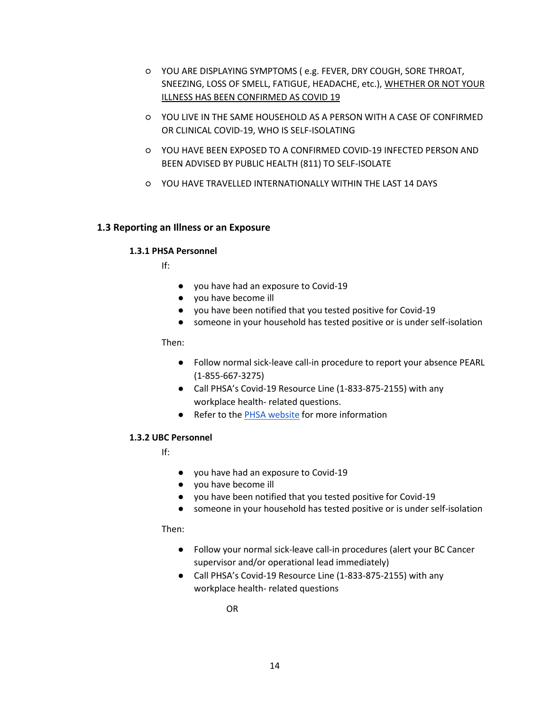- YOU ARE DISPLAYING SYMPTOMS ( e.g. FEVER, DRY COUGH, SORE THROAT, SNEEZING, LOSS OF SMELL, FATIGUE, HEADACHE, etc.), WHETHER OR NOT YOUR ILLNESS HAS BEEN CONFIRMED AS COVID 19
- YOU LIVE IN THE SAME HOUSEHOLD AS A PERSON WITH A CASE OF CONFIRMED OR CLINICAL COVID-19, WHO IS SELF-ISOLATING
- YOU HAVE BEEN EXPOSED TO A CONFIRMED COVID-19 INFECTED PERSON AND BEEN ADVISED BY PUBLIC HEALTH (811) TO SELF-ISOLATE
- YOU HAVE TRAVELLED INTERNATIONALLY WITHIN THE LAST 14 DAYS

## <span id="page-13-1"></span><span id="page-13-0"></span>**1.3 Reporting an Illness or an Exposure**

### **1.3.1 PHSA Personnel**

If:

- you have had an exposure to Covid-19
- you have become ill
- you have been notified that you tested positive for Covid-19
- someone in your household has tested positive or is under self-isolation

Then:

- Follow normal sick-leave call-in procedure to report your absence PEARL (1-855-667-3275)
- Call PHSA's Covid-19 Resource Line (1-833-875-2155) with any workplace health- related questions.
- Refer to the [PHSA website](http://www.phsa.ca/staff-resources/covid-19-resources-for-staff/exposure-illness) for more information

### <span id="page-13-2"></span>**1.3.2 UBC Personnel**

If:

- you have had an exposure to Covid-19
- you have become ill
- you have been notified that you tested positive for Covid-19
- someone in your household has tested positive or is under self-isolation

Then:

- Follow your normal sick-leave call-in procedures (alert your BC Cancer supervisor and/or operational lead immediately)
- Call PHSA's Covid-19 Resource Line (1-833-875-2155) with any workplace health- related questions

OR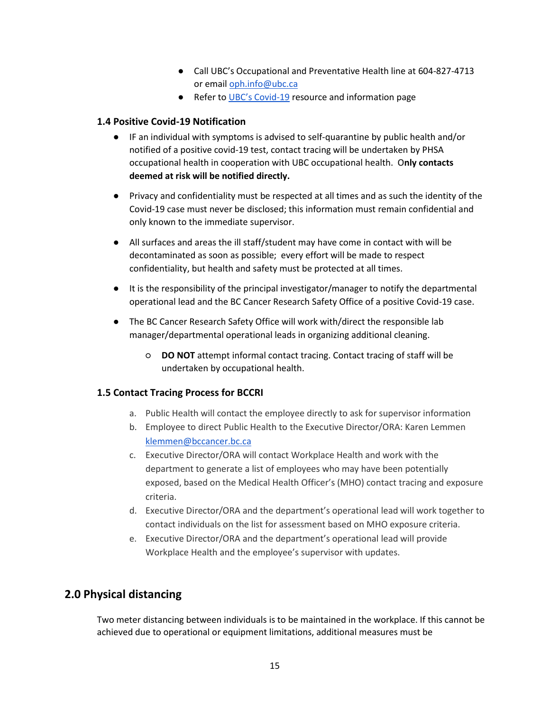- Call UBC's Occupational and Preventative Health line at 604-827-4713 or email [oph.info@ubc.ca](mailto:oph.info@ubc.ca)
- Refer to [UBC's Covid](https://covid19.ubc.ca/)-19 resource and information page

## <span id="page-14-0"></span>**1.4 Positive Covid-19 Notification**

- IF an individual with symptoms is advised to self-quarantine by public health and/or notified of a positive covid-19 test, contact tracing will be undertaken by PHSA occupational health in cooperation with UBC occupational health. O**nly contacts deemed at risk will be notified directly.**
- Privacy and confidentiality must be respected at all times and as such the identity of the Covid-19 case must never be disclosed; this information must remain confidential and only known to the immediate supervisor.
- All surfaces and areas the ill staff/student may have come in contact with will be decontaminated as soon as possible; every effort will be made to respect confidentiality, but health and safety must be protected at all times.
- It is the responsibility of the principal investigator/manager to notify the departmental operational lead and the BC Cancer Research Safety Office of a positive Covid-19 case.
- The BC Cancer Research Safety Office will work with/direct the responsible lab manager/departmental operational leads in organizing additional cleaning.
	- **DO NOT** attempt informal contact tracing. Contact tracing of staff will be undertaken by occupational health.

### <span id="page-14-1"></span>**1.5 Contact Tracing Process for BCCRI**

- a. Public Health will contact the employee directly to ask for supervisor information
- b. Employee to direct Public Health to the Executive Director/ORA: Karen Lemmen [klemmen@bccancer.bc.ca](mailto:klemmen@bccancer.bc.ca)
- c. Executive Director/ORA will contact Workplace Health and work with the department to generate a list of employees who may have been potentially exposed, based on the Medical Health Officer's (MHO) contact tracing and exposure criteria.
- d. Executive Director/ORA and the department's operational lead will work together to contact individuals on the list for assessment based on MHO exposure criteria.
- e. Executive Director/ORA and the department's operational lead will provide Workplace Health and the employee's supervisor with updates.

## <span id="page-14-2"></span>**2.0 Physical distancing**

Two meter distancing between individuals is to be maintained in the workplace. If this cannot be achieved due to operational or equipment limitations, additional measures must be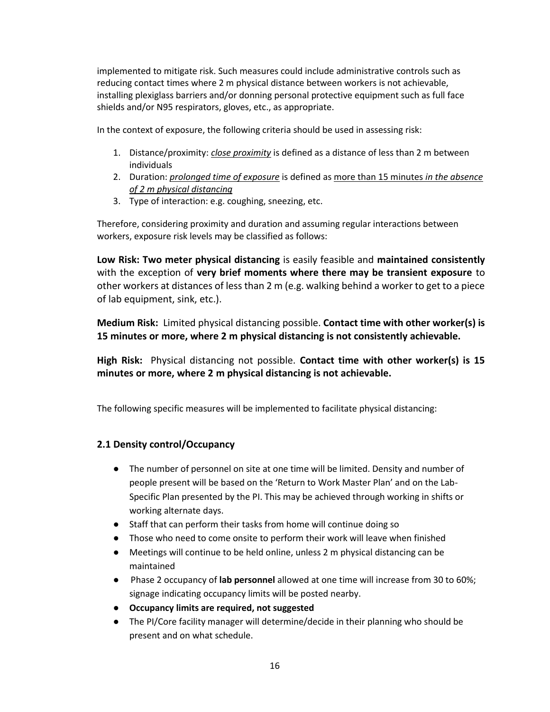implemented to mitigate risk. Such measures could include administrative controls such as reducing contact times where 2 m physical distance between workers is not achievable, installing plexiglass barriers and/or donning personal protective equipment such as full face shields and/or N95 respirators, gloves, etc., as appropriate.

In the context of exposure, the following criteria should be used in assessing risk:

- 1. Distance/proximity: *close proximity* is defined as a distance of less than 2 m between individuals
- 2. Duration: *prolonged time of exposure* is defined as more than 15 minutes *in the absence of 2 m physical distancing*
- 3. Type of interaction: e.g. coughing, sneezing, etc.

Therefore, considering proximity and duration and assuming regular interactions between workers, exposure risk levels may be classified as follows:

**Low Risk: Two meter physical distancing** is easily feasible and **maintained consistently**  with the exception of **very brief moments where there may be transient exposure** to other workers at distances of less than 2 m (e.g. walking behind a worker to get to a piece of lab equipment, sink, etc.).

**Medium Risk:** Limited physical distancing possible. **Contact time with other worker(s) is 15 minutes or more, where 2 m physical distancing is not consistently achievable.**

**High Risk:** Physical distancing not possible. **Contact time with other worker(s) is 15 minutes or more, where 2 m physical distancing is not achievable.** 

The following specific measures will be implemented to facilitate physical distancing:

## <span id="page-15-0"></span>**2.1 Density control/Occupancy**

- The number of personnel on site at one time will be limited. Density and number of people present will be based on the 'Return to Work Master Plan' and on the Lab-Specific Plan presented by the PI. This may be achieved through working in shifts or working alternate days.
- Staff that can perform their tasks from home will continue doing so
- Those who need to come onsite to perform their work will leave when finished
- Meetings will continue to be held online, unless 2 m physical distancing can be maintained
- Phase 2 occupancy of **lab personnel** allowed at one time will increase from 30 to 60%; signage indicating occupancy limits will be posted nearby.
- **Occupancy limits are required, not suggested**
- The PI/Core facility manager will determine/decide in their planning who should be present and on what schedule.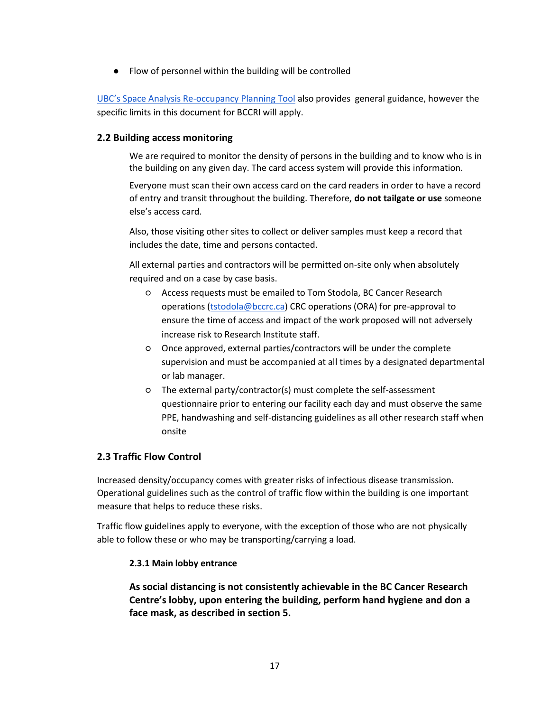● Flow of personnel within the building will be controlled

UBC's Space Analysis Re[-occupancy Planning Tool](https://srs.ubc.ca/files/2020/06/8.-Space-Analysis-Re-Occupancy-Planning-Tool.pdf) also provides general guidance, however the specific limits in this document for BCCRI will apply.

## <span id="page-16-0"></span>**2.2 Building access monitoring**

We are required to monitor the density of persons in the building and to know who is in the building on any given day. The card access system will provide this information.

Everyone must scan their own access card on the card readers in order to have a record of entry and transit throughout the building. Therefore, **do not tailgate or use** someone else's access card.

Also, those visiting other sites to collect or deliver samples must keep a record that includes the date, time and persons contacted.

All external parties and contractors will be permitted on-site only when absolutely required and on a case by case basis.

- Access requests must be emailed to Tom Stodola, BC Cancer Research operations [\(tstodola@bccrc.ca\)](mailto:tstodola@bccrc.ca) CRC operations (ORA) for pre-approval to ensure the time of access and impact of the work proposed will not adversely increase risk to Research Institute staff.
- Once approved, external parties/contractors will be under the complete supervision and must be accompanied at all times by a designated departmental or lab manager.
- The external party/contractor(s) must complete the self-assessment questionnaire prior to entering our facility each day and must observe the same PPE, handwashing and self-distancing guidelines as all other research staff when onsite

## <span id="page-16-1"></span>**2.3 Traffic Flow Control**

Increased density/occupancy comes with greater risks of infectious disease transmission. Operational guidelines such as the control of traffic flow within the building is one important measure that helps to reduce these risks.

<span id="page-16-2"></span>Traffic flow guidelines apply to everyone, with the exception of those who are not physically able to follow these or who may be transporting/carrying a load.

### **2.3.1 Main lobby entrance**

**As social distancing is not consistently achievable in the BC Cancer Research Centre's lobby, upon entering the building, perform hand hygiene and don a face mask, as described in section 5.**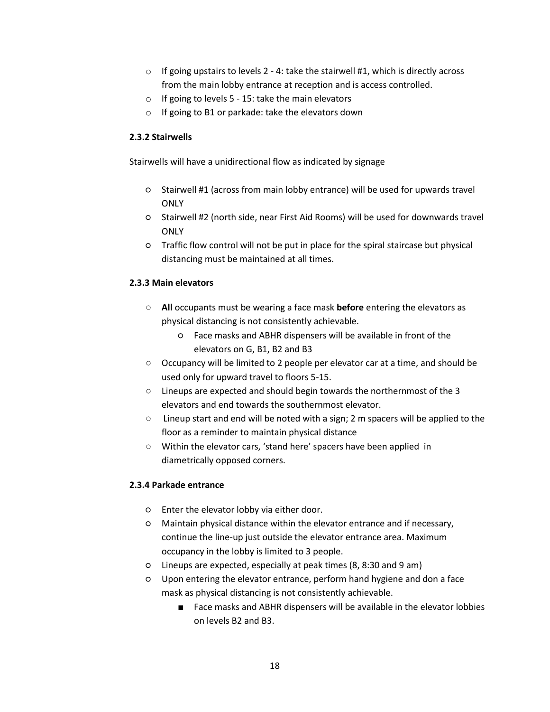- $\circ$  If going upstairs to levels 2 4: take the stairwell #1, which is directly across from the main lobby entrance at reception and is access controlled.
- o If going to levels 5 15: take the main elevators
- o If going to B1 or parkade: take the elevators down

## <span id="page-17-0"></span>**2.3.2 Stairwells**

Stairwells will have a unidirectional flow as indicated by signage

- Stairwell #1 (across from main lobby entrance) will be used for upwards travel **ONLY**
- Stairwell #2 (north side, near First Aid Rooms) will be used for downwards travel **ONLY**
- Traffic flow control will not be put in place for the spiral staircase but physical distancing must be maintained at all times.

## <span id="page-17-1"></span>**2.3.3 Main elevators**

- **All** occupants must be wearing a face mask **before** entering the elevators as physical distancing is not consistently achievable.
	- Face masks and ABHR dispensers will be available in front of the elevators on G, B1, B2 and B3
- Occupancy will be limited to 2 people per elevator car at a time, and should be used only for upward travel to floors 5-15.
- Lineups are expected and should begin towards the northernmost of the 3 elevators and end towards the southernmost elevator.
- Lineup start and end will be noted with a sign; 2 m spacers will be applied to the floor as a reminder to maintain physical distance
- Within the elevator cars, 'stand here' spacers have been applied in diametrically opposed corners.

### <span id="page-17-3"></span><span id="page-17-2"></span>**2.3.4 Parkade entrance**

- Enter the elevator lobby via either door.
- Maintain physical distance within the elevator entrance and if necessary, continue the line-up just outside the elevator entrance area. Maximum occupancy in the lobby is limited to 3 people.
- Lineups are expected, especially at peak times (8, 8:30 and 9 am)
- Upon entering the elevator entrance, perform hand hygiene and don a face mask as physical distancing is not consistently achievable.
	- Face masks and ABHR dispensers will be available in the elevator lobbies on levels B2 and B3.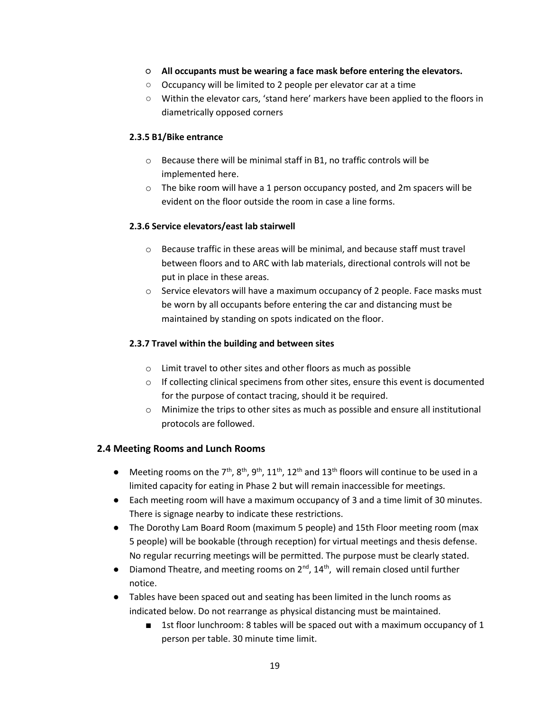- <span id="page-18-0"></span>○ **All occupants must be wearing a face mask before entering the elevators.**
- Occupancy will be limited to 2 people per elevator car at a time
- Within the elevator cars, 'stand here' markers have been applied to the floors in diametrically opposed corners

## <span id="page-18-1"></span>**2.3.5 B1/Bike entrance**

- o Because there will be minimal staff in B1, no traffic controls will be implemented here.
- o The bike room will have a 1 person occupancy posted, and 2m spacers will be evident on the floor outside the room in case a line forms.

## <span id="page-18-2"></span>**2.3.6 Service elevators/east lab stairwell**

- $\circ$  Because traffic in these areas will be minimal, and because staff must travel between floors and to ARC with lab materials, directional controls will not be put in place in these areas.
- o Service elevators will have a maximum occupancy of 2 people. Face masks must be worn by all occupants before entering the car and distancing must be maintained by standing on spots indicated on the floor.

## <span id="page-18-3"></span>**2.3.7 Travel within the building and between sites**

- o Limit travel to other sites and other floors as much as possible
- $\circ$  If collecting clinical specimens from other sites, ensure this event is documented for the purpose of contact tracing, should it be required.
- o Minimize the trips to other sites as much as possible and ensure all institutional protocols are followed.

## <span id="page-18-4"></span>**2.4 Meeting Rooms and Lunch Rooms**

- **•** Meeting rooms on the 7<sup>th</sup>, 8<sup>th</sup>, 9<sup>th</sup>, 11<sup>th</sup>, 12<sup>th</sup> and 13<sup>th</sup> floors will continue to be used in a limited capacity for eating in Phase 2 but will remain inaccessible for meetings.
- Each meeting room will have a maximum occupancy of 3 and a time limit of 30 minutes. There is signage nearby to indicate these restrictions.
- The Dorothy Lam Board Room (maximum 5 people) and 15th Floor meeting room (max 5 people) will be bookable (through reception) for virtual meetings and thesis defense. No regular recurring meetings will be permitted. The purpose must be clearly stated.
- Diamond Theatre, and meeting rooms on  $2^{nd}$ ,  $14^{th}$ , will remain closed until further notice.
- Tables have been spaced out and seating has been limited in the lunch rooms as indicated below. Do not rearrange as physical distancing must be maintained.
	- 1st floor lunchroom: 8 tables will be spaced out with a maximum occupancy of 1 person per table. 30 minute time limit.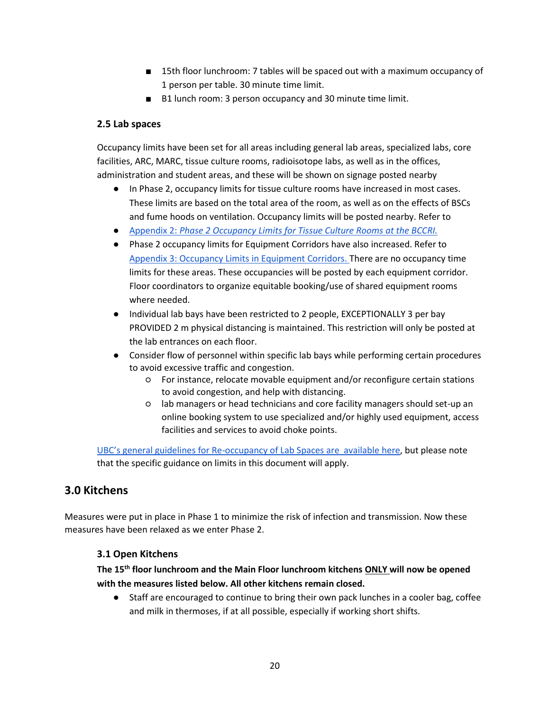- 15th floor lunchroom: 7 tables will be spaced out with a maximum occupancy of 1 person per table. 30 minute time limit.
- B1 lunch room: 3 person occupancy and 30 minute time limit.

## <span id="page-19-0"></span>**2.5 Lab spaces**

Occupancy limits have been set for all areas including general lab areas, specialized labs, core facilities, ARC, MARC, tissue culture rooms, radioisotope labs, as well as in the offices, administration and student areas, and these will be shown on signage posted nearby

- In Phase 2, occupancy limits for tissue culture rooms have increased in most cases. These limits are based on the total area of the room, as well as on the effects of BSCs and fume hoods on ventilation. Occupancy limits will be posted nearby. Refer to
- [Appendix 2:](https://docs.google.com/spreadsheets/d/1Nl50Ryf1FqZYiP5xT-QmyaZ8RJnDNCXVN_O609soIkk/edit?usp=sharing) *[Phase 2 Occupancy Limits for Tissue Culture Rooms at the BCCRI.](https://docs.google.com/spreadsheets/d/1Nl50Ryf1FqZYiP5xT-QmyaZ8RJnDNCXVN_O609soIkk/edit?usp=sharing)*
- Phase 2 occupancy limits for Equipment Corridors have also increased. Refer to [Appendix 3: Occupancy Limits in Equipment Corridors.](https://docs.google.com/spreadsheets/d/1pgYiulWKLFOQxLiU-owO8itJatYxVd2-DqbAr3rsmTQ/edit?usp=sharing) There are no occupancy time limits for these areas. These occupancies will be posted by each equipment corridor. Floor coordinators to organize equitable booking/use of shared equipment rooms where needed.
- Individual lab bays have been restricted to 2 people, EXCEPTIONALLY 3 per bay PROVIDED 2 m physical distancing is maintained. This restriction will only be posted at the lab entrances on each floor.
- Consider flow of personnel within specific lab bays while performing certain procedures to avoid excessive traffic and congestion.
	- For instance, relocate movable equipment and/or reconfigure certain stations to avoid congestion, and help with distancing.
	- lab managers or head technicians and core facility managers should set-up an online booking system to use specialized and/or highly used equipment, access facilities and services to avoid choke points.

UBC's general guidelines for Re[-occupancy of Lab Spaces are available here,](https://srs.ubc.ca/files/2020/06/7.-Guidelines-for-Safe-Lab-Re-Occupancy.pdf) but please note that the specific guidance on limits in this document will apply.

## <span id="page-19-1"></span>**3.0 Kitchens**

<span id="page-19-2"></span>Measures were put in place in Phase 1 to minimize the risk of infection and transmission. Now these measures have been relaxed as we enter Phase 2.

## **3.1 Open Kitchens**

**The 15th floor lunchroom and the Main Floor lunchroom kitchens ONLY will now be opened with the measures listed below. All other kitchens remain closed.**

Staff are encouraged to continue to bring their own pack lunches in a cooler bag, coffee and milk in thermoses, if at all possible, especially if working short shifts.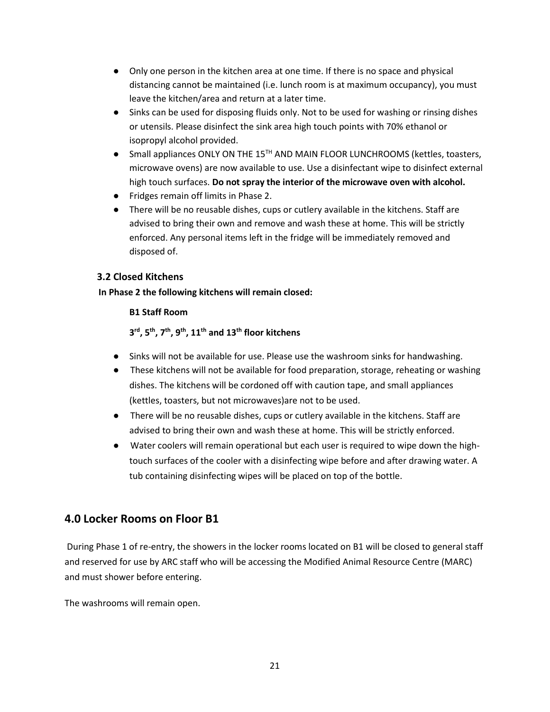- Only one person in the kitchen area at one time. If there is no space and physical distancing cannot be maintained (i.e. lunch room is at maximum occupancy), you must leave the kitchen/area and return at a later time.
- Sinks can be used for disposing fluids only. Not to be used for washing or rinsing dishes or utensils. Please disinfect the sink area high touch points with 70% ethanol or isopropyl alcohol provided.
- Small appliances ONLY ON THE 15<sup>TH</sup> AND MAIN FLOOR LUNCHROOMS (kettles, toasters, microwave ovens) are now available to use. Use a disinfectant wipe to disinfect external high touch surfaces. **Do not spray the interior of the microwave oven with alcohol.**
- Fridges remain off limits in Phase 2.
- There will be no reusable dishes, cups or cutlery available in the kitchens. Staff are advised to bring their own and remove and wash these at home. This will be strictly enforced. Any personal items left in the fridge will be immediately removed and disposed of.

## <span id="page-20-0"></span>**3.2 Closed Kitchens**

## **In Phase 2 the following kitchens will remain closed:**

## **B1 Staff Room**

**3 rd, 5th, 7th, 9th, 11th and 13th floor kitchens**

- Sinks will not be available for use. Please use the washroom sinks for handwashing.
- These kitchens will not be available for food preparation, storage, reheating or washing dishes. The kitchens will be cordoned off with caution tape, and small appliances (kettles, toasters, but not microwaves)are not to be used.
- There will be no reusable dishes, cups or cutlery available in the kitchens. Staff are advised to bring their own and wash these at home. This will be strictly enforced.
- Water coolers will remain operational but each user is required to wipe down the hightouch surfaces of the cooler with a disinfecting wipe before and after drawing water. A tub containing disinfecting wipes will be placed on top of the bottle.

## <span id="page-20-1"></span>**4.0 Locker Rooms on Floor B1**

During Phase 1 of re-entry, the showers in the locker rooms located on B1 will be closed to general staff and reserved for use by ARC staff who will be accessing the Modified Animal Resource Centre (MARC) and must shower before entering.

The washrooms will remain open.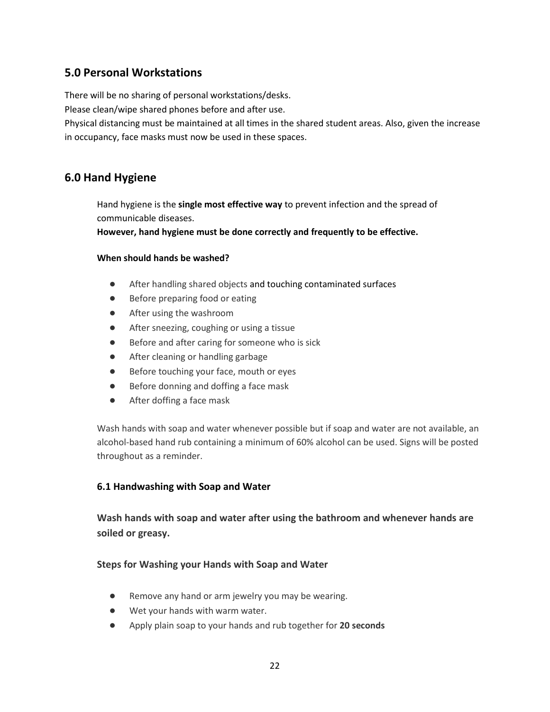## <span id="page-21-0"></span>**5.0 Personal Workstations**

There will be no sharing of personal workstations/desks.

Please clean/wipe shared phones before and after use.

Physical distancing must be maintained at all times in the shared student areas. Also, given the increase in occupancy, face masks must now be used in these spaces.

## <span id="page-21-1"></span>**6.0 Hand Hygiene**

Hand hygiene is the **single most effective way** to prevent infection and the spread of communicable diseases.

**However, hand hygiene must be done correctly and frequently to be effective.**

## **When should hands be washed?**

- After handling shared objects and touching contaminated surfaces
- Before preparing food or eating
- After using the washroom
- After sneezing, coughing or using a tissue
- Before and after caring for someone who is sick
- After cleaning or handling garbage
- Before touching your face, mouth or eyes
- Before donning and doffing a face mask
- After doffing a face mask

Wash hands with soap and water whenever possible but if soap and water are not available, an alcohol-based hand rub containing a minimum of 60% alcohol can be used. Signs will be posted throughout as a reminder.

## <span id="page-21-2"></span>**6.1 Handwashing with Soap and Water**

**Wash hands with soap and water after using the bathroom and whenever hands are soiled or greasy.** 

## **Steps for Washing your Hands with Soap and Water**

- Remove any hand or arm jewelry you may be wearing.
- Wet your hands with warm water.
- Apply plain soap to your hands and rub together for **20 seconds**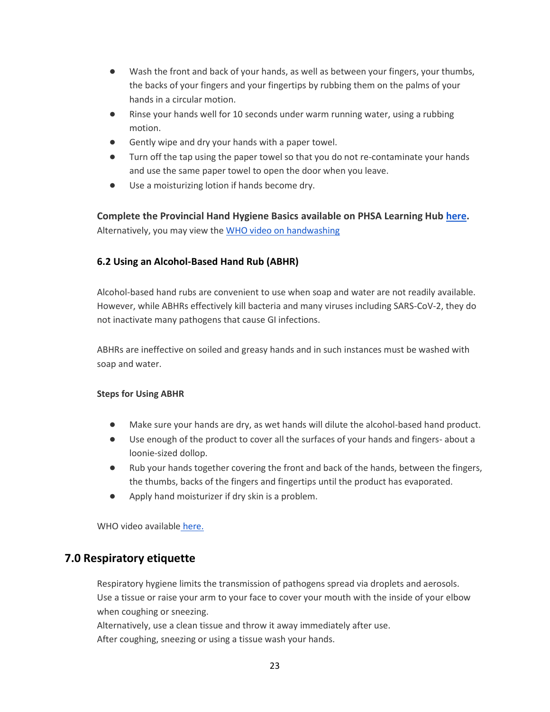- Wash the front and back of your hands, as well as between your fingers, your thumbs, the backs of your fingers and your fingertips by rubbing them on the palms of your hands in a circular motion.
- Rinse your hands well for 10 seconds under warm running water, using a rubbing motion.
- Gently wipe and dry your hands with a paper towel.
- Turn off the tap using the paper towel so that you do not re-contaminate your hands and use the same paper towel to open the door when you leave.
- Use a moisturizing lotion if hands become dry.

**Complete the Provincial Hand Hygiene Basics available on PHSA Learning Hub [here.](https://learninghub.phsa.ca/Courses/5360/provincial-hand-hygiene-basics-picnet)**  Alternatively, you may view th[e WHO video on handwashing](https://www.google.com/search?q=hand+washing+who+video&rlz=1C1GCEA_enCA900CA900&oq=Hand+washing+who&aqs=chrome.1.0l5j46.8843j0j7&sourceid=chrome&ie=UTF-8#kpvalbx=_SdC0Xv6YOsr7-gSh7rLQBQ52)

## <span id="page-22-0"></span>**6.2 Using an Alcohol-Based Hand Rub (ABHR)**

Alcohol-based hand rubs are convenient to use when soap and water are not readily available. However, while ABHRs effectively kill bacteria and many viruses including SARS-CoV-2, they do not inactivate many pathogens that cause GI infections.

ABHRs are ineffective on soiled and greasy hands and in such instances must be washed with soap and water.

### **Steps for Using ABHR**

- Make sure your hands are dry, as wet hands will dilute the alcohol-based hand product.
- Use enough of the product to cover all the surfaces of your hands and fingers- about a loonie-sized dollop.
- Rub your hands together covering the front and back of the hands, between the fingers, the thumbs, backs of the fingers and fingertips until the product has evaporated.
- Apply hand moisturizer if dry skin is a problem.

WHO video available [here.](https://www.youtube.com/watch?v=ZnSjFr6J9HI)

## <span id="page-22-1"></span>**7.0 Respiratory etiquette**

Respiratory hygiene limits the transmission of pathogens spread via droplets and aerosols. Use a tissue or raise your arm to your face to cover your mouth with the inside of your elbow when coughing or sneezing.

Alternatively, use a clean tissue and throw it away immediately after use.

After coughing, sneezing or using a tissue wash your hands.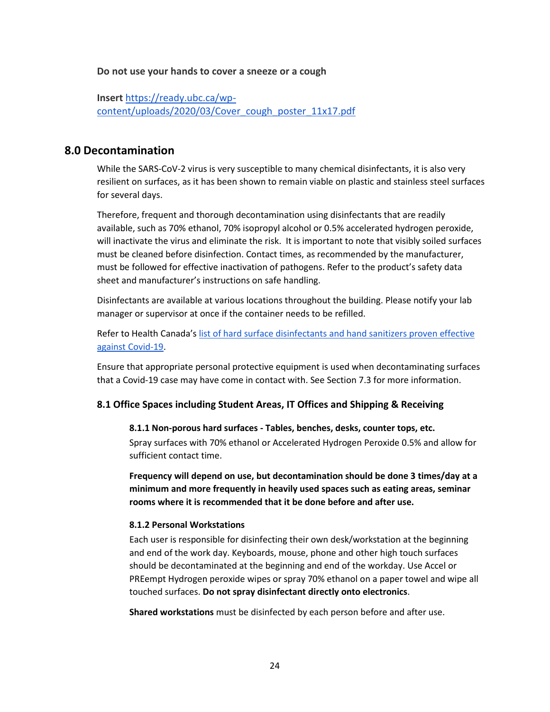**Do not use your hands to cover a sneeze or a cough**

**Insert** [https://ready.ubc.ca/wp](https://ready.ubc.ca/wp-content/uploads/2020/03/Cover_cough_poster_11x17.pdf)[content/uploads/2020/03/Cover\\_cough\\_poster\\_11x17.pdf](https://ready.ubc.ca/wp-content/uploads/2020/03/Cover_cough_poster_11x17.pdf)

## <span id="page-23-0"></span>**8.0 Decontamination**

While the SARS-CoV-2 virus is very susceptible to many chemical disinfectants, it is also very resilient on surfaces, as it has been shown to remain viable on plastic and stainless steel surfaces for several days.

Therefore, frequent and thorough decontamination using disinfectants that are readily available, such as 70% ethanol, 70% isopropyl alcohol or 0.5% accelerated hydrogen peroxide, will inactivate the virus and eliminate the risk. It is important to note that visibly soiled surfaces must be cleaned before disinfection. Contact times, as recommended by the manufacturer, must be followed for effective inactivation of pathogens. Refer to the product's safety data sheet and manufacturer's instructions on safe handling.

Disinfectants are available at various locations throughout the building. Please notify your lab manager or supervisor at once if the container needs to be refilled.

Refer to Health Canada's [list of hard surface disinfectants and hand sanitizers proven effective](https://www.canada.ca/en/health-canada/services/drugs-health-products/disinfectants/covid-19/list.html#tbl1)  [against Covid-19.](https://www.canada.ca/en/health-canada/services/drugs-health-products/disinfectants/covid-19/list.html#tbl1)

Ensure that appropriate personal protective equipment is used when decontaminating surfaces that a Covid-19 case may have come in contact with. See Section 7.3 for more information.

## <span id="page-23-2"></span><span id="page-23-1"></span>**8.1 Office Spaces including Student Areas, IT Offices and Shipping & Receiving**

**8.1.1 Non-porous hard surfaces - Tables, benches, desks, counter tops, etc.** 

Spray surfaces with 70% ethanol or Accelerated Hydrogen Peroxide 0.5% and allow for sufficient contact time.

**Frequency will depend on use, but decontamination should be done 3 times/day at a minimum and more frequently in heavily used spaces such as eating areas, seminar rooms where it is recommended that it be done before and after use.**

### <span id="page-23-3"></span>**8.1.2 Personal Workstations**

Each user is responsible for disinfecting their own desk/workstation at the beginning and end of the work day. Keyboards, mouse, phone and other high touch surfaces should be decontaminated at the beginning and end of the workday. Use Accel or PREempt Hydrogen peroxide wipes or spray 70% ethanol on a paper towel and wipe all touched surfaces. **Do not spray disinfectant directly onto electronics**.

**Shared workstations** must be disinfected by each person before and after use.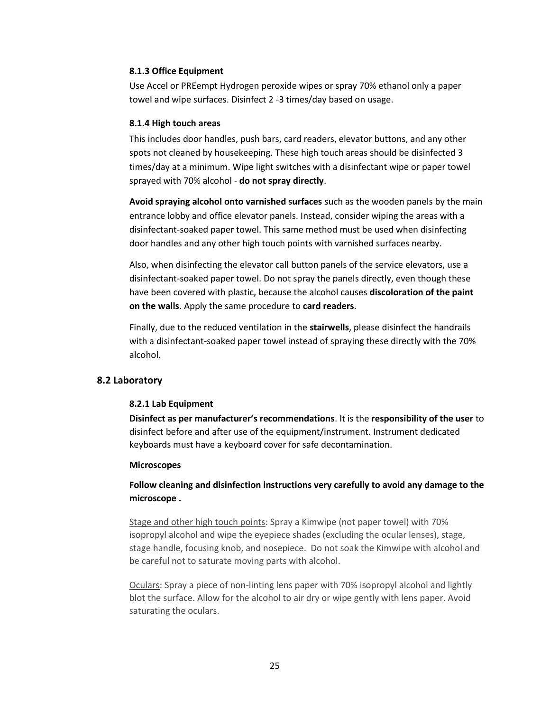#### <span id="page-24-0"></span>**8.1.3 Office Equipment**

Use Accel or PREempt Hydrogen peroxide wipes or spray 70% ethanol only a paper towel and wipe surfaces. Disinfect 2 -3 times/day based on usage.

#### <span id="page-24-1"></span>**8.1.4 High touch areas**

This includes door handles, push bars, card readers, elevator buttons, and any other spots not cleaned by housekeeping. These high touch areas should be disinfected 3 times/day at a minimum. Wipe light switches with a disinfectant wipe or paper towel sprayed with 70% alcohol - **do not spray directly**.

**Avoid spraying alcohol onto varnished surfaces** such as the wooden panels by the main entrance lobby and office elevator panels. Instead, consider wiping the areas with a disinfectant-soaked paper towel. This same method must be used when disinfecting door handles and any other high touch points with varnished surfaces nearby.

Also, when disinfecting the elevator call button panels of the service elevators, use a disinfectant-soaked paper towel. Do not spray the panels directly, even though these have been covered with plastic, because the alcohol causes **discoloration of the paint on the walls**. Apply the same procedure to **card readers**.

Finally, due to the reduced ventilation in the **stairwells**, please disinfect the handrails with a disinfectant-soaked paper towel instead of spraying these directly with the 70% alcohol.

### <span id="page-24-3"></span><span id="page-24-2"></span>**8.2 Laboratory**

### **8.2.1 Lab Equipment**

**Disinfect as per manufacturer's recommendations**. It is the **responsibility of the user** to disinfect before and after use of the equipment/instrument. Instrument dedicated keyboards must have a keyboard cover for safe decontamination.

#### **Microscopes**

**Follow cleaning and disinfection instructions very carefully to avoid any damage to the microscope .**

Stage and other high touch points: Spray a Kimwipe (not paper towel) with 70% isopropyl alcohol and wipe the eyepiece shades (excluding the ocular lenses), stage, stage handle, focusing knob, and nosepiece. Do not soak the Kimwipe with alcohol and be careful not to saturate moving parts with alcohol.

Oculars: Spray a piece of non-linting lens paper with 70% isopropyl alcohol and lightly blot the surface. Allow for the alcohol to air dry or wipe gently with lens paper. Avoid saturating the oculars.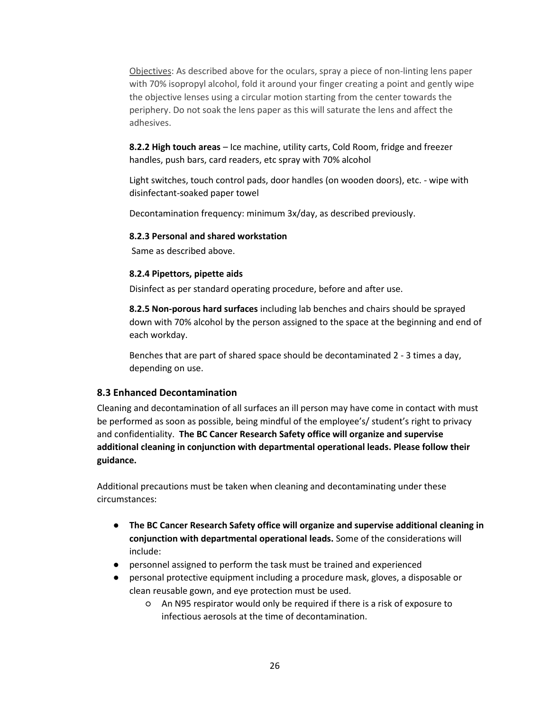Objectives: As described above for the oculars, spray a piece of non-linting lens paper with 70% isopropyl alcohol, fold it around your finger creating a point and gently wipe the objective lenses using a circular motion starting from the center towards the periphery. Do not soak the lens paper as this will saturate the lens and affect the adhesives.

**8.2.2 High touch areas** – Ice machine, utility carts, Cold Room, fridge and freezer handles, push bars, card readers, etc spray with 70% alcohol

Light switches, touch control pads, door handles (on wooden doors), etc. - wipe with disinfectant-soaked paper towel

Decontamination frequency: minimum 3x/day, as described previously.

#### <span id="page-25-0"></span>**8.2.3 Personal and shared workstation**

Same as described above.

#### <span id="page-25-1"></span>**8.2.4 Pipettors, pipette aids**

Disinfect as per standard operating procedure, before and after use.

**8.2.5 Non-porous hard surfaces** including lab benches and chairs should be sprayed down with 70% alcohol by the person assigned to the space at the beginning and end of each workday.

Benches that are part of shared space should be decontaminated 2 - 3 times a day, depending on use.

### <span id="page-25-2"></span>**8.3 Enhanced Decontamination**

Cleaning and decontamination of all surfaces an ill person may have come in contact with must be performed as soon as possible, being mindful of the employee's/ student's right to privacy and confidentiality. **The BC Cancer Research Safety office will organize and supervise additional cleaning in conjunction with departmental operational leads. Please follow their guidance.**

Additional precautions must be taken when cleaning and decontaminating under these circumstances:

- **The BC Cancer Research Safety office will organize and supervise additional cleaning in conjunction with departmental operational leads.** Some of the considerations will include:
- personnel assigned to perform the task must be trained and experienced
- personal protective equipment including a procedure mask, gloves, a disposable or clean reusable gown, and eye protection must be used.
	- An N95 respirator would only be required if there is a risk of exposure to infectious aerosols at the time of decontamination.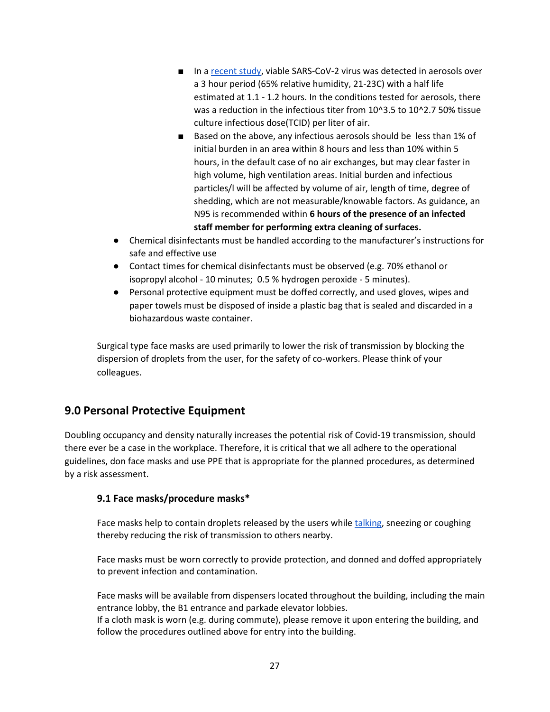- In a [recent study,](https://www.nejm.org/doi/full/10.1056/NEJMc2004973) viable SARS-CoV-2 virus was detected in aerosols over a 3 hour period (65% relative humidity, 21-23C) with a half life estimated at 1.1 - 1.2 hours. In the conditions tested for aerosols, there was a reduction in the infectious titer from 10^3.5 to 10^2.7 50% tissue culture infectious dose(TCID) per liter of air.
- Based on the above, any infectious aerosols should be less than 1% of initial burden in an area within 8 hours and less than 10% within 5 hours, in the default case of no air exchanges, but may clear faster in high volume, high ventilation areas. Initial burden and infectious particles/l will be affected by volume of air, length of time, degree of shedding, which are not measurable/knowable factors. As guidance, an N95 is recommended within **6 hours of the presence of an infected staff member for performing extra cleaning of surfaces.**
- Chemical disinfectants must be handled according to the manufacturer's instructions for safe and effective use
- Contact times for chemical disinfectants must be observed (e.g. 70% ethanol or isopropyl alcohol - 10 minutes; 0.5 % hydrogen peroxide - 5 minutes).
- Personal protective equipment must be doffed correctly, and used gloves, wipes and paper towels must be disposed of inside a plastic bag that is sealed and discarded in a biohazardous waste container.

Surgical type face masks are used primarily to lower the risk of transmission by blocking the dispersion of droplets from the user, for the safety of co-workers. Please think of your colleagues.

## <span id="page-26-0"></span>**9.0 Personal Protective Equipment**

Doubling occupancy and density naturally increases the potential risk of Covid-19 transmission, should there ever be a case in the workplace. Therefore, it is critical that we all adhere to the operational guidelines, don face masks and use PPE that is appropriate for the planned procedures, as determined by a risk assessment.

## <span id="page-26-1"></span>**9.1 Face masks/procedure masks\***

Face masks help to contain droplets released by the users while [talking,](https://www.ncbi.nlm.nih.gov/pmc/articles/PMC5798362/) sneezing or coughing thereby reducing the risk of transmission to others nearby.

Face masks must be worn correctly to provide protection, and donned and doffed appropriately to prevent infection and contamination.

Face masks will be available from dispensers located throughout the building, including the main entrance lobby, the B1 entrance and parkade elevator lobbies.

If a cloth mask is worn (e.g. during commute), please remove it upon entering the building, and follow the procedures outlined above for entry into the building.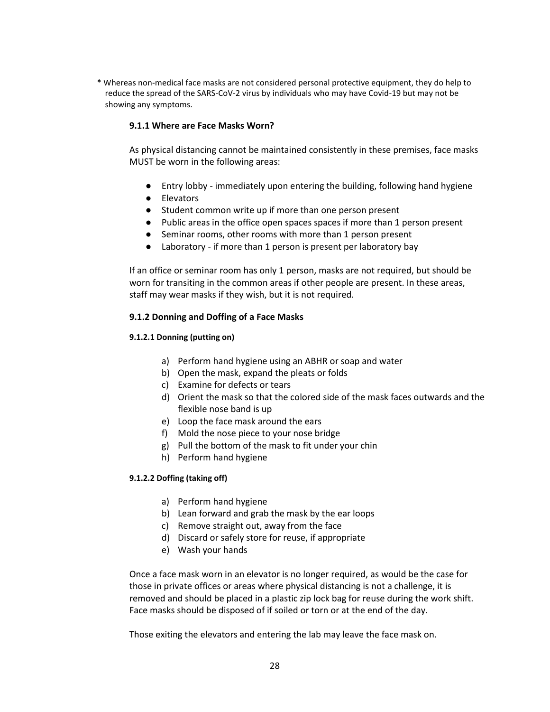<span id="page-27-0"></span>\* Whereas non-medical face masks are not considered personal protective equipment, they do help to reduce the spread of the SARS-CoV-2 virus by individuals who may have Covid-19 but may not be showing any symptoms.

### **9.1.1 Where are Face Masks Worn?**

As physical distancing cannot be maintained consistently in these premises, face masks MUST be worn in the following areas:

- Entry lobby immediately upon entering the building, following hand hygiene
- Elevators
- Student common write up if more than one person present
- Public areas in the office open spaces spaces if more than 1 person present
- Seminar rooms, other rooms with more than 1 person present
- Laboratory if more than 1 person is present per laboratory bay

If an office or seminar room has only 1 person, masks are not required, but should be worn for transiting in the common areas if other people are present. In these areas, staff may wear masks if they wish, but it is not required.

### <span id="page-27-1"></span>**9.1.2 Donning and Doffing of a Face Masks**

### <span id="page-27-2"></span>**9.1.2.1 Donning (putting on)**

- a) Perform hand hygiene using an ABHR or soap and water
- b) Open the mask, expand the pleats or folds
- c) Examine for defects or tears
- d) Orient the mask so that the colored side of the mask faces outwards and the flexible nose band is up
- e) Loop the face mask around the ears
- f) Mold the nose piece to your nose bridge
- g) Pull the bottom of the mask to fit under your chin
- h) Perform hand hygiene

### <span id="page-27-3"></span>**9.1.2.2 Doffing (taking off)**

- a) Perform hand hygiene
- b) Lean forward and grab the mask by the ear loops
- c) Remove straight out, away from the face
- d) Discard or safely store for reuse, if appropriate
- e) Wash your hands

Once a face mask worn in an elevator is no longer required, as would be the case for those in private offices or areas where physical distancing is not a challenge, it is removed and should be placed in a plastic zip lock bag for reuse during the work shift. Face masks should be disposed of if soiled or torn or at the end of the day.

Those exiting the elevators and entering the lab may leave the face mask on.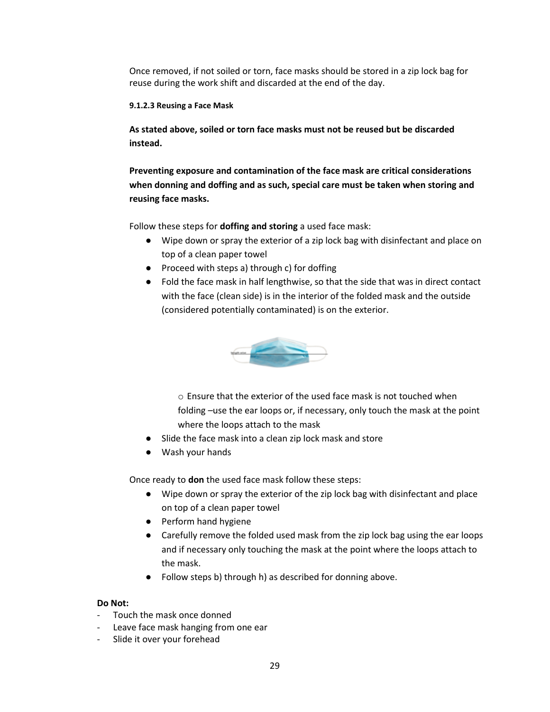Once removed, if not soiled or torn, face masks should be stored in a zip lock bag for reuse during the work shift and discarded at the end of the day.

### <span id="page-28-0"></span>**9.1.2.3 Reusing a Face Mask**

**As stated above, soiled or torn face masks must not be reused but be discarded instead.**

**Preventing exposure and contamination of the face mask are critical considerations when donning and doffing and as such, special care must be taken when storing and reusing face masks.**

Follow these steps for **doffing and storing** a used face mask:

- Wipe down or spray the exterior of a zip lock bag with disinfectant and place on top of a clean paper towel
- Proceed with steps a) through c) for doffing
- Fold the face mask in half lengthwise, so that the side that was in direct contact with the face (clean side) is in the interior of the folded mask and the outside (considered potentially contaminated) is on the exterior.



o Ensure that the exterior of the used face mask is not touched when folding –use the ear loops or, if necessary, only touch the mask at the point where the loops attach to the mask

- Slide the face mask into a clean zip lock mask and store
- Wash your hands

Once ready to **don** the used face mask follow these steps:

- Wipe down or spray the exterior of the zip lock bag with disinfectant and place on top of a clean paper towel
- Perform hand hygiene
- Carefully remove the folded used mask from the zip lock bag using the ear loops and if necessary only touching the mask at the point where the loops attach to the mask.
- Follow steps b) through h) as described for donning above.

## **Do Not:**

- Touch the mask once donned
- Leave face mask hanging from one ear
- Slide it over your forehead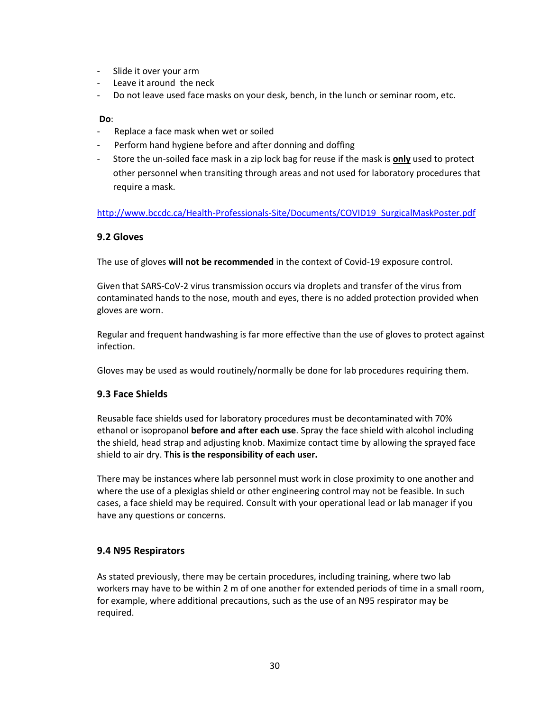- Slide it over your arm
- Leave it around the neck
- Do not leave used face masks on your desk, bench, in the lunch or seminar room, etc.

#### **Do**:

- Replace a face mask when wet or soiled
- Perform hand hygiene before and after donning and doffing
- Store the un-soiled face mask in a zip lock bag for reuse if the mask is **only** used to protect other personnel when transiting through areas and not used for laboratory procedures that require a mask.

[http://www.bccdc.ca/Health-Professionals-Site/Documents/COVID19\\_SurgicalMaskPoster.pdf](http://www.bccdc.ca/Health-Professionals-Site/Documents/COVID19_SurgicalMaskPoster.pdf)

## <span id="page-29-0"></span>**9.2 Gloves**

The use of gloves **will not be recommended** in the context of Covid-19 exposure control.

Given that SARS-CoV-2 virus transmission occurs via droplets and transfer of the virus from contaminated hands to the nose, mouth and eyes, there is no added protection provided when gloves are worn.

Regular and frequent handwashing is far more effective than the use of gloves to protect against infection.

<span id="page-29-1"></span>Gloves may be used as would routinely/normally be done for lab procedures requiring them.

#### **9.3 Face Shields**

Reusable face shields used for laboratory procedures must be decontaminated with 70% ethanol or isopropanol **before and after each use**. Spray the face shield with alcohol including the shield, head strap and adjusting knob. Maximize contact time by allowing the sprayed face shield to air dry. **This is the responsibility of each user.**

There may be instances where lab personnel must work in close proximity to one another and where the use of a plexiglas shield or other engineering control may not be feasible. In such cases, a face shield may be required. Consult with your operational lead or lab manager if you have any questions or concerns.

#### <span id="page-29-2"></span>**9.4 N95 Respirators**

As stated previously, there may be certain procedures, including training, where two lab workers may have to be within 2 m of one another for extended periods of time in a small room, for example, where additional precautions, such as the use of an N95 respirator may be required.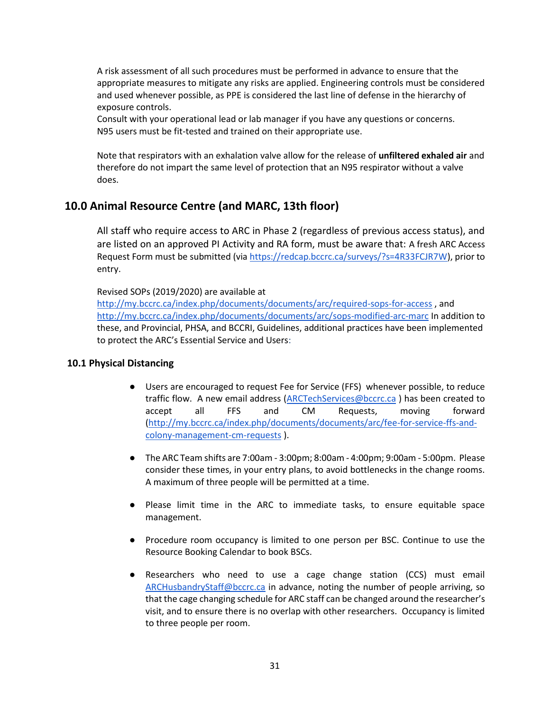A risk assessment of all such procedures must be performed in advance to ensure that the appropriate measures to mitigate any risks are applied. Engineering controls must be considered and used whenever possible, as PPE is considered the last line of defense in the hierarchy of exposure controls.

Consult with your operational lead or lab manager if you have any questions or concerns. N95 users must be fit-tested and trained on their appropriate use.

Note that respirators with an exhalation valve allow for the release of **unfiltered exhaled air** and therefore do not impart the same level of protection that an N95 respirator without a valve does.

## <span id="page-30-0"></span>**10.0 Animal Resource Centre (and MARC, 13th floor)**

All staff who require access to ARC in Phase 2 (regardless of previous access status), and are listed on an approved PI Activity and RA form, must be aware that: A fresh ARC Access Request Form must be submitted (via [https://redcap.bccrc.ca/surveys/?s=4R33FCJR7W\)](https://redcap.bccrc.ca/surveys/?s=4R33FCJR7W), prior to entry.

Revised SOPs (2019/2020) are available at

<http://my.bccrc.ca/index.php/documents/documents/arc/required-sops-for-access> , and <http://my.bccrc.ca/index.php/documents/documents/arc/sops-modified-arc-marc> In addition to these, and Provincial, PHSA, and BCCRI, Guidelines, additional practices have been implemented to protect the ARC's Essential Service and Users:

### <span id="page-30-1"></span>**10.1 Physical Distancing**

- Users are encouraged to request Fee for Service (FFS) whenever possible, to reduce traffic flow. A new email address [\(ARCTechServices@bccrc.ca](mailto:ARCTechServices@bccrc.ca) ) has been created to accept all FFS and CM Requests, moving forward [\(http://my.bccrc.ca/index.php/documents/documents/arc/fee-for-service-ffs-and](http://my.bccrc.ca/index.php/documents/documents/arc/fee-for-service-ffs-and-colony-management-cm-requests)[colony-management-cm-requests](http://my.bccrc.ca/index.php/documents/documents/arc/fee-for-service-ffs-and-colony-management-cm-requests) ).
- The ARC Team shifts are 7:00am 3:00pm; 8:00am 4:00pm; 9:00am 5:00pm. Please consider these times, in your entry plans, to avoid bottlenecks in the change rooms. A maximum of three people will be permitted at a time.
- Please limit time in the ARC to immediate tasks, to ensure equitable space management.
- Procedure room occupancy is limited to one person per BSC. Continue to use the Resource Booking Calendar to book BSCs.
- Researchers who need to use a cage change station (CCS) must email [ARCHusbandryStaff@bccrc.ca](mailto:ARCHusbandryStaff@bccrc.ca) in advance, noting the number of people arriving, so that the cage changing schedule for ARC staff can be changed around the researcher's visit, and to ensure there is no overlap with other researchers. Occupancy is limited to three people per room.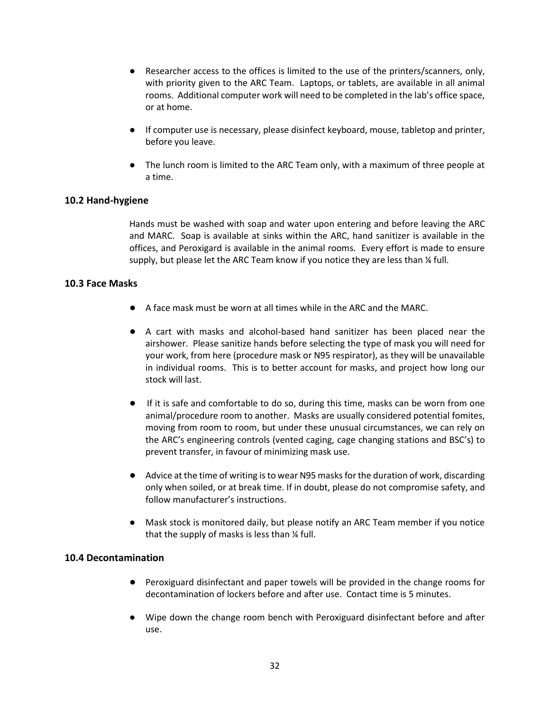- Researcher access to the offices is limited to the use of the printers/scanners, only, with priority given to the ARC Team. Laptops, or tablets, are available in all animal rooms. Additional computer work will need to be completed in the lab's office space, or at home.
- If computer use is necessary, please disinfect keyboard, mouse, tabletop and printer, before you leave.
- The lunch room is limited to the ARC Team only, with a maximum of three people at a time.

## <span id="page-31-0"></span>**10.2 Hand-hygiene**

Hands must be washed with soap and water upon entering and before leaving the ARC and MARC. Soap is available at sinks within the ARC, hand sanitizer is available in the offices, and Peroxigard is available in the animal rooms. Every effort is made to ensure supply, but please let the ARC Team know if you notice they are less than  $\frac{1}{4}$  full.

## <span id="page-31-1"></span>**10.3 Face Masks**

- A face mask must be worn at all times while in the ARC and the MARC.
- A cart with masks and alcohol-based hand sanitizer has been placed near the airshower. Please sanitize hands before selecting the type of mask you will need for your work, from here (procedure mask or N95 respirator), as they will be unavailable in individual rooms. This is to better account for masks, and project how long our stock will last.
- If it is safe and comfortable to do so, during this time, masks can be worn from one animal/procedure room to another. Masks are usually considered potential fomites, moving from room to room, but under these unusual circumstances, we can rely on the ARC's engineering controls (vented caging, cage changing stations and BSC's) to prevent transfer, in favour of minimizing mask use.
- Advice at the time of writing is to wear N95 masks for the duration of work, discarding only when soiled, or at break time. If in doubt, please do not compromise safety, and follow manufacturer's instructions.
- Mask stock is monitored daily, but please notify an ARC Team member if you notice that the supply of masks is less than ¼ full.

### <span id="page-31-2"></span>**10.4 Decontamination**

- Peroxiguard disinfectant and paper towels will be provided in the change rooms for decontamination of lockers before and after use. Contact time is 5 minutes.
- Wipe down the change room bench with Peroxiguard disinfectant before and after use.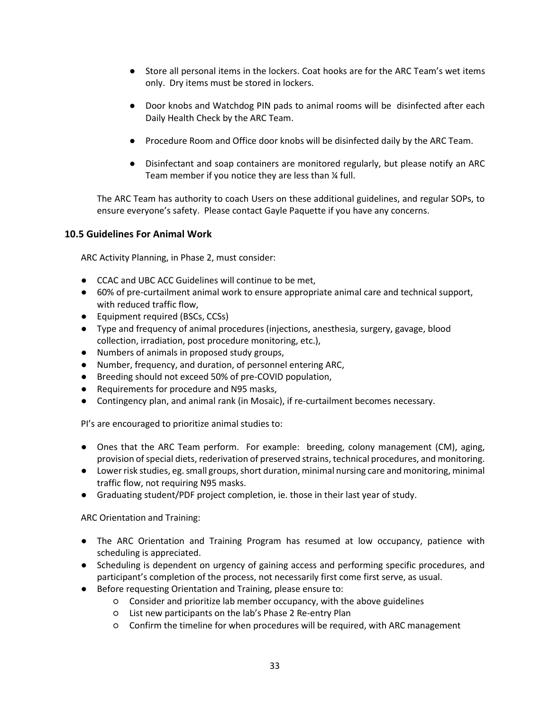- Store all personal items in the lockers. Coat hooks are for the ARC Team's wet items only. Dry items must be stored in lockers.
- Door knobs and Watchdog PIN pads to animal rooms will be disinfected after each Daily Health Check by the ARC Team.
- Procedure Room and Office door knobs will be disinfected daily by the ARC Team.
- Disinfectant and soap containers are monitored regularly, but please notify an ARC Team member if you notice they are less than ¼ full.

The ARC Team has authority to coach Users on these additional guidelines, and regular SOPs, to ensure everyone's safety. Please contact Gayle Paquette if you have any concerns.

## <span id="page-32-0"></span>**10.5 Guidelines For Animal Work**

ARC Activity Planning, in Phase 2, must consider:

- CCAC and UBC ACC Guidelines will continue to be met,
- 60% of pre-curtailment animal work to ensure appropriate animal care and technical support, with reduced traffic flow,
- Equipment required (BSCs, CCSs)
- Type and frequency of animal procedures (injections, anesthesia, surgery, gavage, blood collection, irradiation, post procedure monitoring, etc.),
- Numbers of animals in proposed study groups,
- Number, frequency, and duration, of personnel entering ARC,
- Breeding should not exceed 50% of pre-COVID population,
- Requirements for procedure and N95 masks,
- Contingency plan, and animal rank (in Mosaic), if re-curtailment becomes necessary.

PI's are encouraged to prioritize animal studies to:

- Ones that the ARC Team perform. For example: breeding, colony management (CM), aging, provision of special diets, rederivation of preserved strains, technical procedures, and monitoring.
- Lower risk studies, eg. small groups, short duration, minimal nursing care and monitoring, minimal traffic flow, not requiring N95 masks.
- Graduating student/PDF project completion, ie. those in their last year of study.

ARC Orientation and Training:

- The ARC Orientation and Training Program has resumed at low occupancy, patience with scheduling is appreciated.
- Scheduling is dependent on urgency of gaining access and performing specific procedures, and participant's completion of the process, not necessarily first come first serve, as usual.
- Before requesting Orientation and Training, please ensure to:
	- Consider and prioritize lab member occupancy, with the above guidelines
	- List new participants on the lab's Phase 2 Re-entry Plan
	- Confirm the timeline for when procedures will be required, with ARC management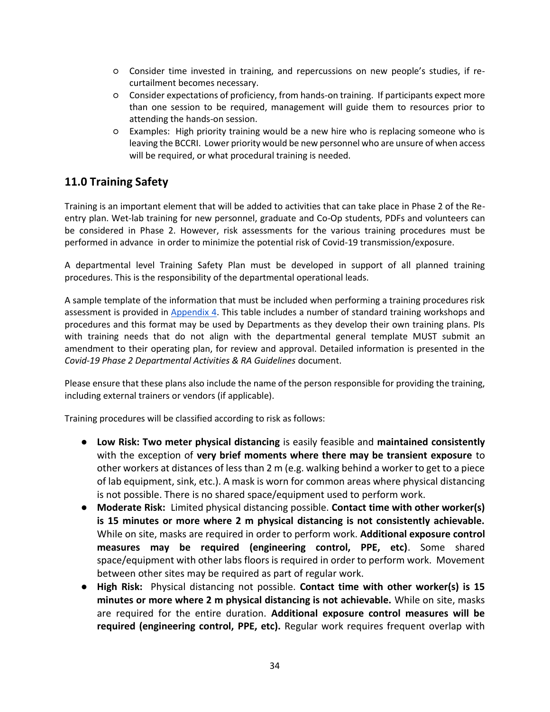- Consider time invested in training, and repercussions on new people's studies, if recurtailment becomes necessary.
- Consider expectations of proficiency, from hands-on training. If participants expect more than one session to be required, management will guide them to resources prior to attending the hands-on session.
- Examples: High priority training would be a new hire who is replacing someone who is leaving the BCCRI. Lower priority would be new personnel who are unsure of when access will be required, or what procedural training is needed.

## <span id="page-33-0"></span>**11.0 Training Safety**

Training is an important element that will be added to activities that can take place in Phase 2 of the Reentry plan. Wet-lab training for new personnel, graduate and Co-Op students, PDFs and volunteers can be considered in Phase 2. However, risk assessments for the various training procedures must be performed in advance in order to minimize the potential risk of Covid-19 transmission/exposure.

A departmental level Training Safety Plan must be developed in support of all planned training procedures. This is the responsibility of the departmental operational leads.

A sample template of the information that must be included when performing a training procedures risk assessment is provided in [Appendix 4.](https://docs.google.com/document/d/1A3a6RE9ZGkLetBz3r8v-ZAwxIuc7zYYLlm-MJItrdJE/edit) This table includes a number of standard training workshops and procedures and this format may be used by Departments as they develop their own training plans. PIs with training needs that do not align with the departmental general template MUST submit an amendment to their operating plan, for review and approval. Detailed information is presented in the *Covid-19 Phase 2 Departmental Activities & RA Guidelines* document.

Please ensure that these plans also include the name of the person responsible for providing the training, including external trainers or vendors (if applicable).

Training procedures will be classified according to risk as follows:

- **Low Risk: Two meter physical distancing** is easily feasible and **maintained consistently**  with the exception of **very brief moments where there may be transient exposure** to other workers at distances of less than 2 m (e.g. walking behind a worker to get to a piece of lab equipment, sink, etc.). A mask is worn for common areas where physical distancing is not possible. There is no shared space/equipment used to perform work.
- **Moderate Risk:** Limited physical distancing possible. **Contact time with other worker(s) is 15 minutes or more where 2 m physical distancing is not consistently achievable.** While on site, masks are required in order to perform work. **Additional exposure control measures may be required (engineering control, PPE, etc)**. Some shared space/equipment with other labs floors is required in order to perform work. Movement between other sites may be required as part of regular work.
- **High Risk:** Physical distancing not possible. **Contact time with other worker(s) is 15 minutes or more where 2 m physical distancing is not achievable.** While on site, masks are required for the entire duration. **Additional exposure control measures will be required (engineering control, PPE, etc).** Regular work requires frequent overlap with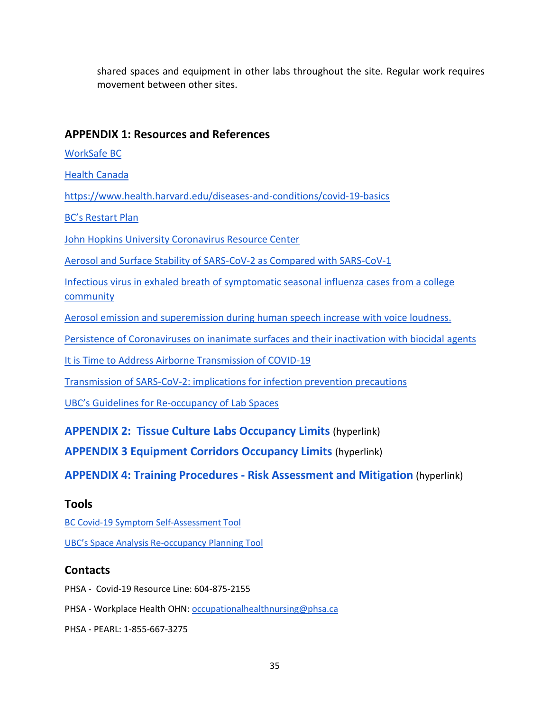shared spaces and equipment in other labs throughout the site. Regular work requires movement between other sites.

## <span id="page-34-0"></span>**APPENDIX 1: Resources and References**

[WorkSafe BC](https://www.worksafebc.com/en/about-us/covid-19-updates)

[Health Canada](https://www.canada.ca/en/public-health/services/diseases/2019-novel-coronavirus-infection.html?&utm_campaign=gc-hc-sc-coronavirus2021-ao-2021-0005-10020125402&utm_medium=search&utm_source=google-ads-107800103024&utm_content=text-en-434525470059&utm_term=covid-19)

<https://www.health.harvard.edu/diseases-and-conditions/covid-19-basics>

[BC's Restart Plan](https://www2.gov.bc.ca/gov/content/safety/emergency-preparedness-response-recovery/covid-19-provincial-support/bc-restart-plan)

[John Hopkins University Coronavirus Resource Center](https://coronavirus.jhu.edu/map.html)

[Aerosol and Surface Stability of SARS-CoV-2 as Compared with SARS-CoV-1](https://www.nejm.org/doi/full/10.1056/NEJMc2004973)

Infectious virus in exhaled breath of [symptomatic seasonal influenza cases from a college](https://www.ncbi.nlm.nih.gov/pmc/articles/PMC5798362/)  [community](https://www.ncbi.nlm.nih.gov/pmc/articles/PMC5798362/)

[Aerosol emission and superemission during human speech increase with voice loudness.](https://www.ncbi.nlm.nih.gov/pmc/articles/PMC6382806/)

[Persistence of Coronaviruses on inanimate surfaces and their inactivation with biocidal agents](https://www.sciencedirect.com/science/article/pii/S0195670120300463)

[It is Time to Address Airborne Transmission of COVID-19](https://academic.oup.com/cid/article/doi/10.1093/cid/ciaa939/5867798)

[Transmission of SARS-CoV-2: implications for infection prevention precautions](https://www.who.int/news-room/commentaries/detail/transmission-of-sars-cov-2-implications-for-infection-prevention-precautions)

UBC's Guidelines for Re[-occupancy of Lab Spaces](https://srs.ubc.ca/files/2020/06/7.-Guidelines-for-Safe-Lab-Re-Occupancy.pdf)

**[APPENDIX 2: Tissue Culture Labs Occupancy Limits](https://drive.google.com/open?id=1Nl50Ryf1FqZYiP5xT-QmyaZ8RJnDNCXVN_O609soIkk)** (hyperlink)

**[APPENDIX 3 Equipment Corridors Occupancy Limits](https://drive.google.com/open?id=1pgYiulWKLFOQxLiU-owO8itJatYxVd2-DqbAr3rsmTQ)** (hyperlink)

**[APPENDIX 4: Training Procedures -](https://drive.google.com/open?id=1A3a6RE9ZGkLetBz3r8v-ZAwxIuc7zYYLlm-MJItrdJE) Risk Assessment and Mitigation** (hyperlink)

## **Tools**

[BC Covid-19 Symptom Self-Assessment Tool](https://bc.thrive.health/covid19/en) [UBC's Space Analysis Re](https://srs.ubc.ca/files/2020/06/8.-Space-Analysis-Re-Occupancy-Planning-Tool.pdf)-occupancy Planning [Tool](https://srs.ubc.ca/files/2020/06/8.-Space-Analysis-Re-Occupancy-Planning-Tool.pdf)

## **Contacts**

PHSA - Covid-19 Resource Line: 604-875-2155

PHSA - Workplace Health OHN[: occupationalhealthnursing@phsa.ca](mailto:occupationalhealthnursing@phsa.ca)

PHSA - PEARL: 1-855-667-3275